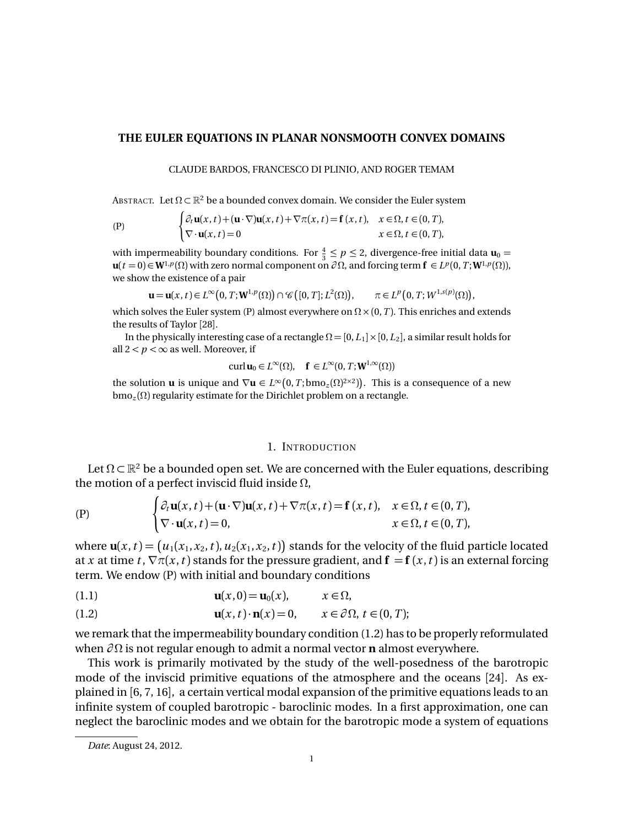# **THE EULER EQUATIONS IN PLANAR NONSMOOTH CONVEX DOMAINS**

CLAUDE BARDOS, FRANCESCO DI PLINIO, AND ROGER TEMAM

ABSTRACT. Let  $\Omega \subset \mathbb{R}^2$  be a bounded convex domain. We consider the Euler system

$$
\begin{cases}\n\partial_t \mathbf{u}(x,t) + (\mathbf{u} \cdot \nabla) \mathbf{u}(x,t) + \nabla \pi(x,t) = \mathbf{f}(x,t), & x \in \Omega, t \in (0,T), \\
\nabla \cdot \mathbf{u}(x,t) = 0 & x \in \Omega, t \in (0,T),\n\end{cases}
$$

with impermeability boundary conditions. For  $\frac{4}{3} \le p \le 2$ , divergence-free initial data  $\mathbf{u}_0 =$  $\mathbf{u}(t=0) \in \mathbf{W}^{1,p}(\Omega)$  with zero normal component on  $\partial \Omega$ , and forcing term  $\mathbf{f} \in L^p(0,T; \mathbf{W}^{1,p}(\Omega))$ , we show the existence of a pair

$$
\mathbf{u} = \mathbf{u}(x,t) \in L^{\infty}\big(0,T;\mathbf{W}^{1,p}(\Omega)\big) \cap \mathscr{C}\big([0,T];L^2(\Omega)\big), \qquad \pi \in L^p\big(0,T;\mathit{W}^{1,s(p)}(\Omega)\big),
$$

which solves the Euler system (P) almost everywhere on  $\Omega \times (0, T)$ . This enriches and extends the results of Taylor [28].

In the physically interesting case of a rectangle  $\Omega = [0, L_1] \times [0, L_2]$ , a similar result holds for all  $2 < p < \infty$  as well. Moreover, if

$$
\operatorname{curl} \mathbf{u}_0 \in L^{\infty}(\Omega), \quad \mathbf{f} \in L^{\infty}(0,T; \mathbf{W}^{1,\infty}(\Omega))
$$

the solution **u** is unique and  $\nabla$ **u**  $\in L^{\infty}(0, T; \text{bmo}_z(\Omega)^{2\times 2})$ . This is a consequence of a new  $bmo_z(\Omega)$  regularity estimate for the Dirichlet problem on a rectangle.

## 1. INTRODUCTION

Let  $\Omega \subset \mathbb{R}^2$  be a bounded open set. We are concerned with the Euler equations, describing the motion of a perfect inviscid fluid inside  $\Omega$ ,

$$
\begin{cases}\n\partial_t \mathbf{u}(x,t) + (\mathbf{u} \cdot \nabla) \mathbf{u}(x,t) + \nabla \pi(x,t) = \mathbf{f}(x,t), & x \in \Omega, t \in (0,T), \\
\nabla \cdot \mathbf{u}(x,t) = 0, & x \in \Omega, t \in (0,T),\n\end{cases}
$$

where  $\mathbf{u}(x,t) = (u_1(x_1,x_2,t), u_2(x_1,x_2,t))$  stands for the velocity of the fluid particle located at *x* at time *t*,  $\nabla \pi(x, t)$  stands for the pressure gradient, and  $\mathbf{f} = \mathbf{f}(x, t)$  is an external forcing term. We endow (P) with initial and boundary conditions

$$
\mathbf{u}(x,0) = \mathbf{u}_0(x), \qquad x \in \Omega,
$$

(1.2) 
$$
\mathbf{u}(x,t)\cdot \mathbf{n}(x)=0, \qquad x\in \partial\Omega, t\in (0,T);
$$

we remark that the impermeability boundary condition (1.2) has to be properly reformulated when  $\partial\Omega$  is not regular enough to admit a normal vector **n** almost everywhere.

This work is primarily motivated by the study of the well-posedness of the barotropic mode of the inviscid primitive equations of the atmosphere and the oceans [24]. As explained in [6, 7, 16], a certain vertical modal expansion of the primitive equations leads to an infinite system of coupled barotropic - baroclinic modes. In a first approximation, one can neglect the baroclinic modes and we obtain for the barotropic mode a system of equations

*Date*: August 24, 2012.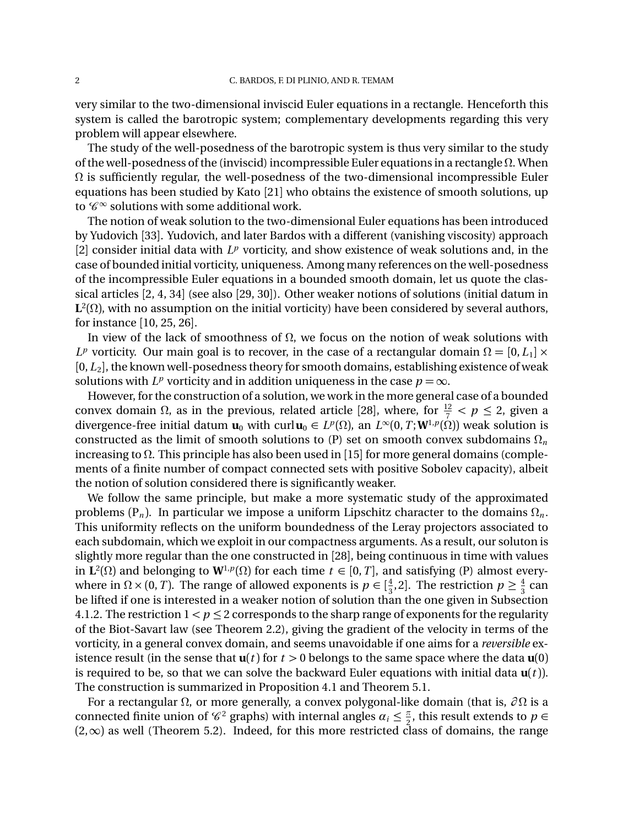very similar to the two-dimensional inviscid Euler equations in a rectangle. Henceforth this system is called the barotropic system; complementary developments regarding this very problem will appear elsewhere.

The study of the well-posedness of the barotropic system is thus very similar to the study of the well-posedness of the (inviscid) incompressible Euler equations in a rectangle  $\Omega$ . When  $\Omega$  is sufficiently regular, the well-posedness of the two-dimensional incompressible Euler equations has been studied by Kato [21] who obtains the existence of smooth solutions, up to  $\mathscr{C}^{\infty}$  solutions with some additional work.

The notion of weak solution to the two-dimensional Euler equations has been introduced by Yudovich [33]. Yudovich, and later Bardos with a different (vanishing viscosity) approach [2] consider initial data with  $L^p$  vorticity, and show existence of weak solutions and, in the case of bounded initial vorticity, uniqueness. Among many references on the well-posedness of the incompressible Euler equations in a bounded smooth domain, let us quote the classical articles [2, 4, 34] (see also [29, 30]). Other weaker notions of solutions (initial datum in  $L^2(\Omega)$ , with no assumption on the initial vorticity) have been considered by several authors, for instance [10, 25, 26].

In view of the lack of smoothness of  $\Omega$ , we focus on the notion of weak solutions with  $L^p$  vorticity. Our main goal is to recover, in the case of a rectangular domain  $\Omega = [0, L_1] \times$ [0, *L*<sub>2</sub>], the known well-posedness theory for smooth domains, establishing existence of weak solutions with  $L^p$  vorticity and in addition uniqueness in the case  $p = \infty$ .

However, for the construction of a solution, we work in the more general case of a bounded convex domain  $\Omega$ , as in the previous, related article [28], where, for  $\frac{12}{7} < p \le 2$ , given a divergence-free initial datum  $\mathbf{u}_0$  with curl $\mathbf{u}_0 \in L^p(\Omega)$ , an  $L^{\infty}(0,T;W^{1,p}(\Omega))$  weak solution is constructed as the limit of smooth solutions to  $(P)$  set on smooth convex subdomains  $\Omega_n$ increasing to  $\Omega$ . This principle has also been used in [15] for more general domains (complements of a finite number of compact connected sets with positive Sobolev capacity), albeit the notion of solution considered there is significantly weaker.

We follow the same principle, but make a more systematic study of the approximated problems  $(P_n)$ . In particular we impose a uniform Lipschitz character to the domains  $\Omega_n$ . This uniformity reflects on the uniform boundedness of the Leray projectors associated to each subdomain, which we exploit in our compactness arguments. As a result, our soluton is slightly more regular than the one constructed in [28], being continuous in time with values in  $\mathbf{L}^2(\Omega)$  and belonging to  $\mathbf{W}^{1,p}(\Omega)$  for each time  $t \in [0,T]$ , and satisfying (P) almost everywhere in  $\Omega \times (0, T)$ . The range of allowed exponents is  $p \in \left[\frac{4}{3}, 2\right]$ . The restriction  $p \ge \frac{4}{3}$  can be lifted if one is interested in a weaker notion of solution than the one given in Subsection 4.1.2. The restriction  $1 < p \le 2$  corresponds to the sharp range of exponents for the regularity of the Biot-Savart law (see Theorem 2.2), giving the gradient of the velocity in terms of the vorticity, in a general convex domain, and seems unavoidable if one aims for a *reversible* existence result (in the sense that  $u(t)$  for  $t > 0$  belongs to the same space where the data  $u(0)$ is required to be, so that we can solve the backward Euler equations with initial data  $\mathbf{u}(t)$ . The construction is summarized in Proposition 4.1 and Theorem 5.1.

For a rectangular  $\Omega$ , or more generally, a convex polygonal-like domain (that is,  $\partial\Omega$  is a connected finite union of  $\mathscr{C}^2$  graphs) with internal angles  $\alpha_i \leq \frac{\pi}{2}$ , this result extends to  $p \in$  $(2,\infty)$  as well (Theorem 5.2). Indeed, for this more restricted class of domains, the range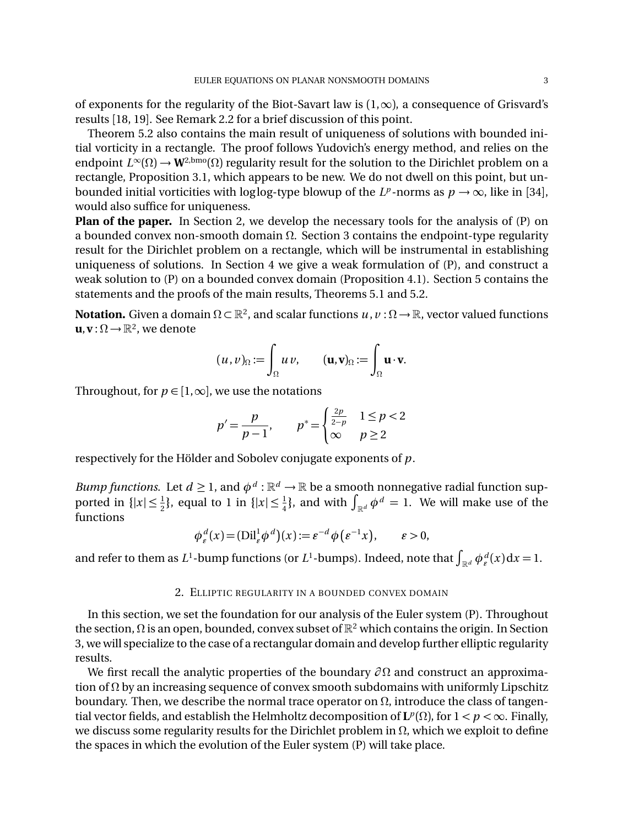of exponents for the regularity of the Biot-Savart law is  $(1,\infty)$ , a consequence of Grisvard's results [18, 19]. See Remark 2.2 for a brief discussion of this point.

Theorem 5.2 also contains the main result of uniqueness of solutions with bounded initial vorticity in a rectangle. The proof follows Yudovich's energy method, and relies on the endpoint  $L^{\infty}(\Omega) \to W^{2,\text{bmo}}(\Omega)$  regularity result for the solution to the Dirichlet problem on a rectangle, Proposition 3.1, which appears to be new. We do not dwell on this point, but unbounded initial vorticities with loglog-type blowup of the  $L^p$ -norms as  $p \to \infty$ , like in [34], would also suffice for uniqueness.

**Plan of the paper.** In Section 2, we develop the necessary tools for the analysis of (P) on a bounded convex non-smooth domain  $\Omega$ . Section 3 contains the endpoint-type regularity result for the Dirichlet problem on a rectangle, which will be instrumental in establishing uniqueness of solutions. In Section 4 we give a weak formulation of (P), and construct a weak solution to (P) on a bounded convex domain (Proposition 4.1). Section 5 contains the statements and the proofs of the main results, Theorems 5.1 and 5.2.

**Notation.** Given a domain  $\Omega \subset \mathbb{R}^2$ , and scalar functions  $u, v: \Omega \to \mathbb{R}$ , vector valued functions  $\mathbf{u}, \mathbf{v}: \Omega \to \mathbb{R}^2$ , we denote

$$
(u,v)_{\Omega} := \int_{\Omega} u v, \qquad (\mathbf{u},\mathbf{v})_{\Omega} := \int_{\Omega} \mathbf{u} \cdot \mathbf{v}.
$$

Throughout, for  $p \in [1,\infty]$ , we use the notations

$$
p' = \frac{p}{p-1}, \qquad p^* = \begin{cases} \frac{2p}{2-p} & 1 \le p < 2\\ \infty & p \ge 2 \end{cases}
$$

respectively for the Hölder and Sobolev conjugate exponents of *p*.

*Bump functions.* Let  $d \geq 1$ , and  $\phi^d : \mathbb{R}^d \to \mathbb{R}$  be a smooth nonnegative radial function supported in  $\{|x| \leq \frac{1}{2}\}$ , equal to 1 in  $\{|x| \leq \frac{1}{4}\}$ , and with  $\int_{\mathbb{R}^d} \phi^d = 1$ . We will make use of the functions

$$
\phi_{\varepsilon}^d(x) = (\text{Dil}_{\varepsilon}^1 \phi^d)(x) := \varepsilon^{-d} \phi(\varepsilon^{-1} x), \qquad \varepsilon > 0,
$$

and refer to them as  $L^1$ -bump functions (or  $L^1$ -bumps). Indeed, note that  $\int_{\mathbb{R}^d} \phi_\varepsilon^d(x) dx = 1$ .

#### 2. ELLIPTIC REGULARITY IN A BOUNDED CONVEX DOMAIN

In this section, we set the foundation for our analysis of the Euler system (P). Throughout the section,  $\Omega$  is an open, bounded, convex subset of  $\mathbb{R}^2$  which contains the origin. In Section 3, we will specialize to the case of a rectangular domain and develop further elliptic regularity results.

We first recall the analytic properties of the boundary  $\partial\Omega$  and construct an approximation of  $\Omega$  by an increasing sequence of convex smooth subdomains with uniformly Lipschitz boundary. Then, we describe the normal trace operator on  $\Omega$ , introduce the class of tangential vector fields, and establish the Helmholtz decomposition of  $\mathbf{L}^p(\Omega)$ , for  $1 < p < \infty$ . Finally, we discuss some regularity results for the Dirichlet problem in  $\Omega$ , which we exploit to define the spaces in which the evolution of the Euler system (P) will take place.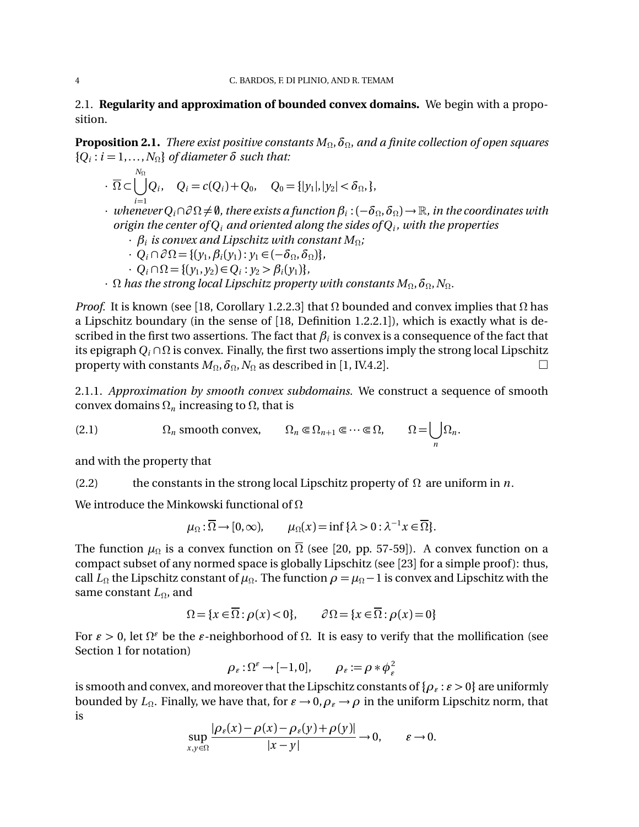2.1. **Regularity and approximation of bounded convex domains.** We begin with a proposition.

**Proposition 2.1.** *There exist positive constants*  $M_{\Omega}$ ,  $\delta_{\Omega}$ , and a finite collection of open squares  ${Q_i : i = 1, \ldots, N_0}$  *of diameter*  $\delta$  *such that:* 

- $\cdot$   $\overline{\Omega} \subset \bigcup^{N_{\Omega}}$ *i*=1  $Q_i$ ,  $Q_i = c(Q_i) + Q_0$ ,  $Q_0 = \{|y_1|, |y_2| < \delta_{\Omega}, \}$ ,
- $\cdot$  *whenever*  $Q_i \cap \partial \Omega \neq \emptyset$ , there exists a function  $\beta_i : (-\delta_{\Omega}, \delta_{\Omega}) \to \mathbb{R}$ , in the coordinates with *origin the center of Qi and oriented along the sides of Qi , with the properties*
	- *·*  $\beta_i$  is convex and Lipschitz with constant  $M_{\Omega}$ ;
	- $\cdot$  *Q<sub>i</sub>*  $\cap \partial \Omega = \{ (y_1, \beta_i(y_1) : y_1 \in (-\delta_{\Omega}, \delta_{\Omega}) \},\$
	- $\cdot$  *Q<sub>i</sub>*  $\cap$   $\Omega$  = { $(y_1, y_2) \in Q_i$  :  $y_2 > \beta_i(y_1)$ }*,*
- $\cdot$   $\Omega$  *has the strong local Lipschitz property with constants*  $M_{\Omega}$ ,  $\delta_{\Omega}$ ,  $N_{\Omega}$ .

*Proof.* It is known (see [18, Corollary 1.2.2.3] that  $\Omega$  bounded and convex implies that  $\Omega$  has a Lipschitz boundary (in the sense of [18, Definition 1.2.2.1]), which is exactly what is described in the first two assertions. The fact that  $\beta_i$  is convex is a consequence of the fact that its epigraph  $Q_i \cap \Omega$  is convex. Finally, the first two assertions imply the strong local Lipschitz<br>property with constants  $M_0$ ,  $\delta_0$ ,  $N_0$  as described in [1, IV4.2] property with constants  $M_{\Omega}$ ,  $\delta_{\Omega}$ ,  $N_{\Omega}$  as described in [1, IV.4.2].

2.1.1. *Approximation by smooth convex subdomains.* We construct a sequence of smooth convex domains  $\Omega_n$  increasing to  $\Omega$ , that is

*n*

(2.1)  $\Omega_n$  smooth convex,  $\Omega_n \in \Omega_{n+1} \subset \cdots \subset \Omega, \qquad \Omega = \bigcup$  $\Omega_n$ .

and with the property that

(2.2) the constants in the strong local Lipschitz property of  $\Omega$  are uniform in *n*.

We introduce the Minkowski functional of  $\Omega$ 

 $\mu_{\Omega} : \overline{\Omega} \to [0,\infty), \qquad \mu_{\Omega}(x) = \inf \{ \lambda > 0 : \lambda^{-1} x \in \overline{\Omega} \}.$ 

The function  $\mu_{\Omega}$  is a convex function on  $\overline{\Omega}$  (see [20, pp. 57-59]). A convex function on a compact subset of any normed space is globally Lipschitz (see [23] for a simple proof ): thus, call  $L_{\Omega}$  the Lipschitz constant of  $\mu_{\Omega}$ . The function  $\rho = \mu_{\Omega} - 1$  is convex and Lipschitz with the same constant  $L_{\Omega}$ , and

$$
\Omega = \{x \in \overline{\Omega} : \rho(x) < 0\}, \qquad \partial \Omega = \{x \in \overline{\Omega} : \rho(x) = 0\}
$$

For  $\varepsilon > 0$ , let  $\Omega^{\varepsilon}$  be the  $\varepsilon$ -neighborhood of  $\Omega$ . It is easy to verify that the mollification (see Section 1 for notation)

$$
\rho_{\varepsilon} : \Omega^{\varepsilon} \to [-1, 0], \qquad \rho_{\varepsilon} := \rho * \phi_{\varepsilon}^{2}
$$

is smooth and convex, and moreover that the Lipschitz constants of  $\{\rho_{\varepsilon} : \varepsilon > 0\}$  are uniformly bounded by  $L_{\Omega}$ . Finally, we have that, for  $\varepsilon \to 0$ ,  $\rho_{\varepsilon} \to \rho$  in the uniform Lipschitz norm, that is

$$
\sup_{x,y\in\Omega} \frac{|\rho_{\varepsilon}(x)-\rho(x)-\rho_{\varepsilon}(y)+\rho(y)|}{|x-y|}\to 0, \qquad \varepsilon\to 0.
$$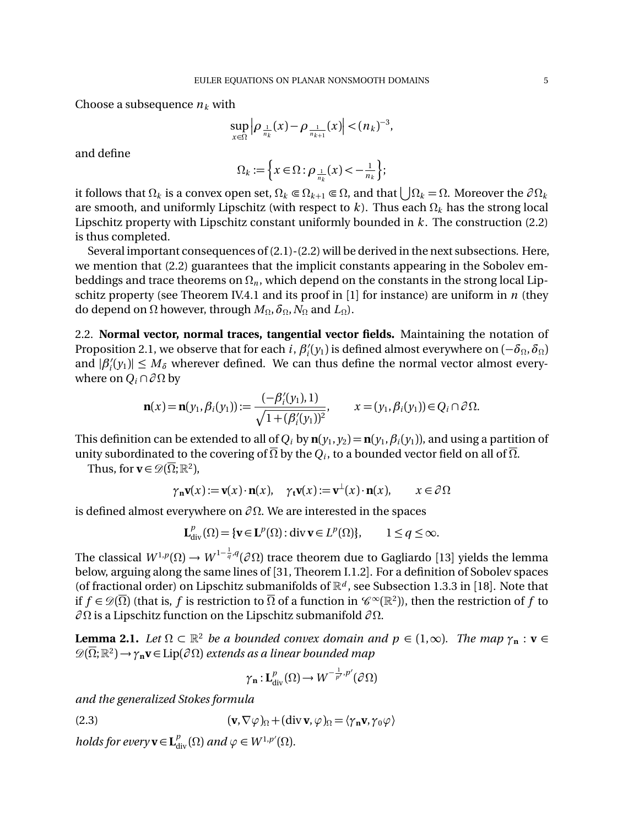Choose a subsequence  $n_k$  with

$$
\sup_{x \in \Omega} \left| \rho_{\frac{1}{n_k}}(x) - \rho_{\frac{1}{n_{k+1}}}(x) \right| < (n_k)^{-3},
$$

and define

$$
\Omega_k := \left\{ x \in \Omega : \rho_{\frac{1}{n_k}}(x) < -\frac{1}{n_k} \right\};
$$

it follows that  $\Omega_k$  is a convex open set,  $\Omega_k \subseteq \Omega_{k+1} \subseteq \Omega$ , and that  $|\Omega_k| = \Omega$ . Moreover the  $\partial \Omega_k$ are smooth, and uniformly Lipschitz (with respect to  $k$ ). Thus each  $\Omega_k$  has the strong local Lipschitz property with Lipschitz constant uniformly bounded in *k* . The construction (2.2) is thus completed.

Several important consequences of (2.1)-(2.2) will be derived in the next subsections. Here, we mention that (2.2) guarantees that the implicit constants appearing in the Sobolev embeddings and trace theorems on  $\Omega_n$ , which depend on the constants in the strong local Lipschitz property (see Theorem IV.4.1 and its proof in [1] for instance) are uniform in *n* (they do depend on  $\Omega$  however, through  $M_{\Omega}$ ,  $\delta_{\Omega}$ ,  $N_{\Omega}$  and  $L_{\Omega}$ ).

2.2. **Normal vector, normal traces, tangential vector fields.** Maintaining the notation of Proposition 2.1, we observe that for each *i*,  $\beta'_i(y_1)$  is defined almost everywhere on  $(-\delta_\Omega, \delta_\Omega)$ and  $|\beta'_i(y_1)| \leq M_\delta$  wherever defined. We can thus define the normal vector almost everywhere on  $Q_i \cap \partial \Omega$  by

$$
\mathbf{n}(x) = \mathbf{n}(y_1, \beta_i(y_1)) := \frac{(-\beta'_i(y_1), 1)}{\sqrt{1 + (\beta'_i(y_1))^2}}, \qquad x = (y_1, \beta_i(y_1)) \in Q_i \cap \partial \Omega.
$$

This definition can be extended to all of  $Q_i$  by  $\mathbf{n}(y_1, y_2) = \mathbf{n}(y_1, \beta_i(y_1))$ , and using a partition of unity subordinated to the covering of  $\overline{\Omega}$  by the  $Q_i$ , to a bounded vector field on all of  $\overline{\Omega}$ .

Thus, for  $\mathbf{v} \in \mathcal{D}(\overline{\Omega};\mathbb{R}^2)$ ,

$$
\gamma_{\mathbf{n}}\mathbf{v}(x) := \mathbf{v}(x) \cdot \mathbf{n}(x), \quad \gamma_{\mathbf{t}}\mathbf{v}(x) := \mathbf{v}^{\perp}(x) \cdot \mathbf{n}(x), \qquad x \in \partial \Omega
$$

is defined almost everywhere on  $\partial \Omega$ . We are interested in the spaces

$$
\mathbf{L}_{\text{div}}^p(\Omega) = \{ \mathbf{v} \in \mathbf{L}^p(\Omega) : \text{div}\,\mathbf{v} \in L^p(\Omega) \}, \qquad 1 \le q \le \infty.
$$

The classical  $W^{1,p}(\Omega) \to W^{1-\frac{1}{q},q}(\partial \Omega)$  trace theorem due to Gagliardo [13] yields the lemma below, arguing along the same lines of [31, Theorem I.1.2]. For a definition of Sobolev spaces (of fractional order) on Lipschitz submanifolds of  $\mathbb{R}^d$ , see Subsection 1.3.3 in [18]. Note that if  $f \in \mathcal{D}(\overline{\Omega})$  (that is, f is restriction to  $\overline{\Omega}$  of a function in  $\mathscr{C}^{\infty}(\mathbb{R}^2)$ ), then the restriction of f to  $\partial\Omega$  is a Lipschitz function on the Lipschitz submanifold  $\partial\Omega$ .

**Lemma 2.1.** Let  $\Omega \subset \mathbb{R}^2$  be a bounded convex domain and  $p \in (1,\infty)$ . The map  $\gamma_n : v \in$  $\mathscr{D}(\overline{\Omega};\mathbb{R}^2) \rightarrow \gamma_n \mathbf{v} \in \text{Lip}(\partial \Omega)$  extends as a linear bounded map

$$
\gamma_{\mathbf{n}}: \mathbf{L}^p_{\rm div}(\Omega) \to W^{-\frac{1}{p'},p'}(\partial \Omega)
$$

*and the generalized Stokes formula*

(2.3) 
$$
(\mathbf{v}, \nabla \varphi)_{\Omega} + (\text{div } \mathbf{v}, \varphi)_{\Omega} = \langle \gamma_{\mathbf{n}} \mathbf{v}, \gamma_0 \varphi \rangle
$$

*holds for every*  $\mathbf{v} \in \mathbf{L}^p_{div}(\Omega)$  *and*  $\varphi \in W^{1,p'}(\Omega)$ *.*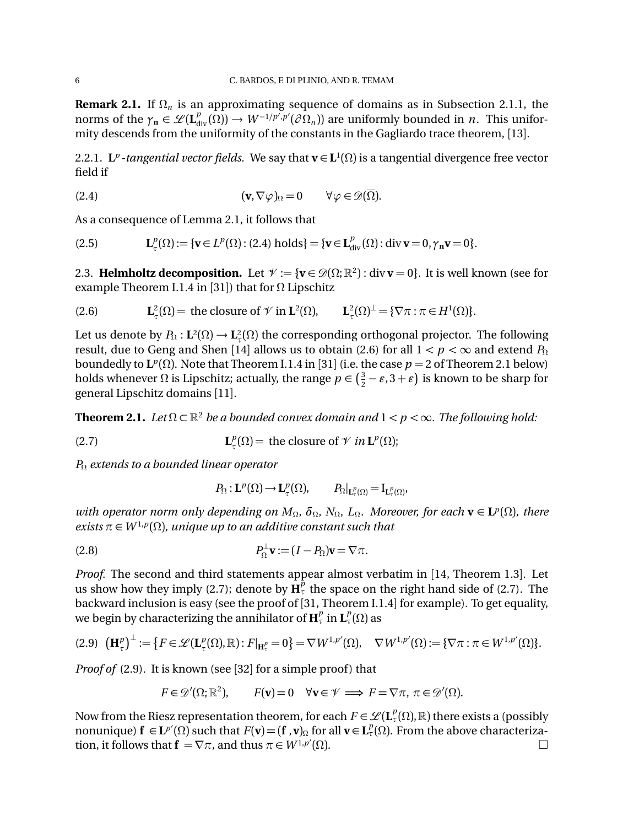**Remark 2.1.** If  $\Omega_n$  is an approximating sequence of domains as in Subsection 2.1.1, the norms of the  $\gamma_n \in \mathscr{L}(\mathbf{L}^p_{div}(\Omega)) \to W^{-1/p',p'}(\partial \Omega_n)$  are uniformly bounded in *n*. This uniformity descends from the uniformity of the constants in the Gagliardo trace theorem, [13].

2.2.1. **L**<sup>*p*</sup> *-tangential vector fields.* We say that  $\mathbf{v} \in \mathbf{L}^1(\Omega)$  is a tangential divergence free vector field if

(2.4) 
$$
(\mathbf{v}, \nabla \varphi)_{\Omega} = 0 \qquad \forall \varphi \in \mathscr{D}(\overline{\Omega}).
$$

As a consequence of Lemma 2.1, it follows that

(2.5) 
$$
\mathbf{L}_{\tau}^{p}(\Omega) := \{ \mathbf{v} \in L^{p}(\Omega) : (2.4) \text{ holds} \} = \{ \mathbf{v} \in \mathbf{L}_{div}^{p}(\Omega) : \text{div} \, \mathbf{v} = 0, \gamma_{\mathbf{n}} \mathbf{v} = 0 \}.
$$

2.3. **Helmholtz decomposition.** Let  $\mathcal{V} := {\mathbf{v} \in \mathcal{D}(\Omega; \mathbb{R}^2) : \text{div } {\mathbf{v}} = 0}$ . It is well known (see for example Theorem I.1.4 in [31]) that for  $\Omega$  Lipschitz

(2.6) 
$$
\mathbf{L}_{\tau}^{2}(\Omega) = \text{ the closure of } \mathcal{V} \text{ in } \mathbf{L}^{2}(\Omega), \qquad \mathbf{L}_{\tau}^{2}(\Omega)^{\perp} = \{ \nabla \pi : \pi \in H^{1}(\Omega) \}.
$$

Let us denote by  $P_{\Omega}: L^2(\Omega) \to L^2_{\tau}(\Omega)$  the corresponding orthogonal projector. The following result, due to Geng and Shen [14] allows us to obtain (2.6) for all  $1 < p < \infty$  and extend  $P_{\Omega}$ boundedly to  $L^p(\Omega)$ . Note that Theorem I.1.4 in [31] (i.e. the case  $p = 2$  of Theorem 2.1 below) holds whenever  $\Omega$  is Lipschitz; actually, the range  $p \in (\frac{3}{2} - \varepsilon, 3 + \varepsilon)$  is known to be sharp for general Lipschitz domains [11].

**Theorem 2.1.** Let  $\Omega \subset \mathbb{R}^2$  be a bounded convex domain and  $1 < p < \infty$ . The following hold:

(2.7) 
$$
\mathbf{L}_{\tau}^{p}(\Omega) = \text{ the closure of } \mathcal{V} \text{ in } \mathbf{L}^{p}(\Omega);
$$

*P*<sup>Ω</sup> *extends to a bounded linear operator* 

$$
P_{\Omega}: \mathbf{L}^p(\Omega) \to \mathbf{L}^p_{\tau}(\Omega), \qquad P_{\Omega}|_{\mathbf{L}^p_{\tau}(\Omega)} = I_{\mathbf{L}^p_{\tau}(\Omega)},
$$

*with operator norm only depending on*  $M_{\Omega}$ ,  $\delta_{\Omega}$ ,  $N_{\Omega}$ ,  $L_{\Omega}$ . Moreover, for each  $\mathbf{v} \in \mathbf{L}^p(\Omega)$ , there *exists*  $\pi \in W^{1,p}(\Omega)$ *, unique up to an additive constant such that* 

(2.8) 
$$
P_{\Omega}^{\perp}\mathbf{v}:=(I-P_{\Omega})\mathbf{v}=\nabla\pi.
$$

*Proof.* The second and third statements appear almost verbatim in [14, Theorem 1.3]. Let us show how they imply (2.7); denote by  $\tilde{H}_{\tau}^{\tilde{p}}$  the space on the right hand side of (2.7). The backward inclusion is easy (see the proof of [31, Theorem I.1.4] for example). To get equality, we begin by characterizing the annihilator of  $\mathbf{H}^p_\tau$  in  $\mathbf{L}^p_\tau(\Omega)$  as

$$
(2.9) \quad \left(\mathbf{H}_{\tau}^{p}\right)^{\perp} := \left\{ F \in \mathcal{L}(\mathbf{L}_{\tau}^{p}(\Omega), \mathbb{R}) : F|_{\mathbf{H}_{\tau}^{p}} = 0 \right\} = \nabla W^{1, p'}(\Omega), \quad \nabla W^{1, p'}(\Omega) := \left\{ \nabla \pi : \pi \in W^{1, p'}(\Omega) \right\}.
$$

*Proof of* (2.9). It is known (see [32] for a simple proof) that

$$
F \in \mathcal{D}'(\Omega; \mathbb{R}^2), \qquad F(\mathbf{v}) = 0 \quad \forall \mathbf{v} \in \mathcal{V} \implies F = \nabla \pi, \ \pi \in \mathcal{D}'(\Omega).
$$

Now from the Riesz representation theorem, for each  $F \in \mathcal{L}(\mathbf{L}^p_\tau(\Omega), \mathbb{R})$  there exists a (possibly nonunique)  $f \in L^{p'}(\Omega)$  such that  $F(v) = (f, v)$  for all  $v \in L^p(\Omega)$ . From the above characterization, it follows that  $\mathbf{f} = \nabla \pi$ , and thus  $\pi \in W^{1,p'}(\Omega)$ .  $(\Omega)$ .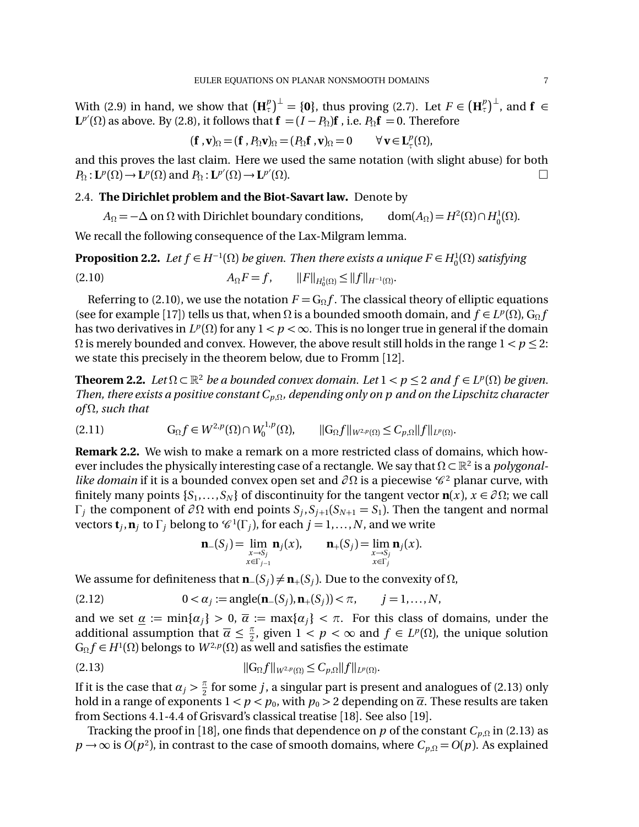With (2.9) in hand, we show that  $(\mathbf{H}_{\tau}^{p})^{\perp} = \{\mathbf{0}\}\$ , thus proving (2.7). Let  $F \in (\mathbf{H}_{\tau}^{p})^{\perp}$ , and  $\mathbf{f} \in \mathbb{R}$  $\mathbf{L}^{p'}(\Omega)$  as above. By (2.8), it follows that  $\mathbf{f} = (I - P_{\Omega})\mathbf{f}$  , i.e.  $P_{\Omega}\mathbf{f} = 0$ . Therefore

$$
(\mathbf{f}\, ,\mathbf{v})_{\Omega} = (\mathbf{f}\, ,P_{\Omega}\mathbf{v})_{\Omega} = (P_{\Omega}\mathbf{f}\, ,\mathbf{v})_{\Omega} = 0 \qquad \forall\, \mathbf{v} \in \mathbf{L}_{\tau}^{p}(\Omega),
$$

and this proves the last claim. Here we used the same notation (with slight abuse) for both  $P_{\Omega}: \mathbf{L}^p(\Omega) \to \mathbf{L}^p(\Omega)$  and  $P_{\Omega}: \mathbf{L}^{p'}(\Omega) \to \mathbf{L}^{p'}$  $(\Omega)$ .

# 2.4. **The Dirichlet problem and the Biot-Savart law.** Denote by

 $A_{\Omega} = -\Delta$  on  $\Omega$  with Dirichlet boundary conditions,  $(\Omega) \cap H^1_0(\Omega)$ .

We recall the following consequence of the Lax-Milgram lemma.

**Proposition 2.2.** Let  $f \in H^{-1}(\Omega)$  be given. Then there exists a unique  $F \in H_0^1(\Omega)$  satisfying (2.10)  $A_{\Omega}F = f, \qquad ||F||_{H_0^1(\Omega)} \le ||f||_{H^{-1}(\Omega)}.$ 

Referring to (2.10), we use the notation  $F = G_0 f$ . The classical theory of elliptic equations (see for example [17]) tells us that, when  $\Omega$  is a bounded smooth domain, and  $f \in L^p(\Omega)$ ,  $G_\Omega f$ has two derivatives in  $L^p(\Omega)$  for any  $1 < p < \infty$ . This is no longer true in general if the domain  $\Omega$  is merely bounded and convex. However, the above result still holds in the range  $1 < p \leq 2$ : we state this precisely in the theorem below, due to Fromm [12].

**Theorem 2.2.** Let  $\Omega \subset \mathbb{R}^2$  be a bounded convex domain. Let  $1 < p \le 2$  and  $f \in L^p(\Omega)$  be given. *Then, there exists a positive constant*  $C_{p,\Omega}$ *, depending only on p and on the Lipschitz character*  $of  $\Omega$ , such that$ 

$$
(2.11) \tG_{\Omega}f \in W^{2,p}(\Omega) \cap W_0^{1,p}(\Omega), \t||G_{\Omega}f||_{W^{2,p}(\Omega)} \leq C_{p,\Omega}||f||_{L^p(\Omega)}.
$$

**Remark 2.2.** We wish to make a remark on a more restricted class of domains, which however includes the physically interesting case of a rectangle. We say that  $\Omega \subset \mathbb{R}^2$  is a *polygonallike domain* if it is a bounded convex open set and  $\partial\Omega$  is a piecewise  $\mathscr{C}^2$  planar curve, with finitely many points  $\{S_1, \ldots, S_N\}$  of discontinuity for the tangent vector  $\mathbf{n}(x)$ ,  $x \in \partial \Omega$ ; we call  $\Gamma_i$  the component of  $\partial \Omega$  with end points  $S_i$ ,  $S_{i+1}(S_{N+1} = S_1)$ . Then the tangent and normal vectors  $\mathbf{t}_j$ ,  $\mathbf{n}_j$  to  $\Gamma_j$  belong to  $\mathcal{C}^1(\Gamma_j)$ , for each  $j = 1, ..., N$ , and we write

$$
n_{-}(Sj) = \lim_{\substack{x \to S_j \\ x \in \Gamma_{j-1}}} n_{j}(x), \qquad n_{+}(Sj) = \lim_{\substack{x \to S_j \\ x \in \Gamma_{j}}} n_{j}(x).
$$

We assume for definiteness that  $\mathbf{n}_-(S_j) \neq \mathbf{n}_+(S_j)$ . Due to the convexity of  $\Omega$ ,

(2.12) 
$$
0 < \alpha_j := \text{angle}(\mathbf{n}_-(S_j), \mathbf{n}_+(S_j)) < \pi, \quad j = 1, ..., N,
$$

and we set  $\underline{\alpha} := \min\{\alpha_i\} > 0$ ,  $\overline{\alpha} := \max\{\alpha_i\} < \pi$ . For this class of domains, under the additional assumption that  $\overline{\alpha} \leq \frac{\pi}{2}$ , given  $1 < p < \infty$  and  $f \in L^p(\Omega)$ , the unique solution  $G_{\Omega} f \in H^{1}(\Omega)$  belongs to  $W^{2,p}(\Omega)$  as well and satisfies the estimate

(2.13) 
$$
||G_{\Omega}f||_{W^{2,p}(\Omega)} \leq C_{p,\Omega}||f||_{L^p(\Omega)}.
$$

If it is the case that  $\alpha_j > \frac{\pi}{2}$  for some *j*, a singular part is present and analogues of (2.13) only hold in a range of exponents  $1 < p < p_0$ , with  $p_0 > 2$  depending on  $\overline{\alpha}$ . These results are taken from Sections 4.1-4.4 of Grisvard's classical treatise [18]. See also [19].

Tracking the proof in [18], one finds that dependence on  $p$  of the constant  $C_{p,\Omega}$  in (2.13) as  $p \rightarrow \infty$  is *O*( $p^2$ ), in contrast to the case of smooth domains, where  $C_{p,\Omega} = O(p)$ . As explained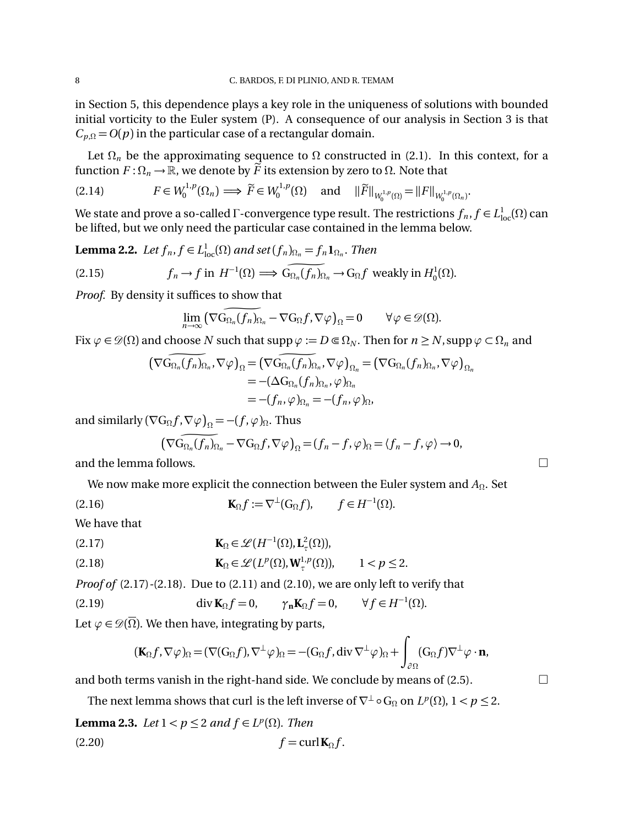in Section 5, this dependence plays a key role in the uniqueness of solutions with bounded initial vorticity to the Euler system (P). A consequence of our analysis in Section 3 is that  $C_{p,\Omega} = O(p)$  in the particular case of a rectangular domain.

Let  $\Omega_n$  be the approximating sequence to  $\Omega$  constructed in (2.1). In this context, for a function  $F: \Omega_n \to \mathbb{R}$ , we denote by  $\widetilde{F}$  its extension by zero to  $\Omega$ . Note that

$$
(2.14) \tF \in W_0^{1,p}(\Omega_n) \Longrightarrow \widetilde{F} \in W_0^{1,p}(\Omega) \quad \text{and} \quad ||\widetilde{F}||_{W_0^{1,p}(\Omega)} = ||F||_{W_0^{1,p}(\Omega_n)}.
$$

We state and prove a so-called  $\Gamma$ -convergence type result. The restrictions  $f_n, f \in L^1_{loc}(\Omega)$  can be lifted, but we only need the particular case contained in the lemma below.

**Lemma 2.2.** Let  $f_n$ ,  $f \in L^1_{loc}(\Omega)$  and set  $(f_n)_{\Omega_n} = f_n \mathbf{1}_{\Omega_n}$ . Then

(2.15) 
$$
f_n \to f \text{ in } H^{-1}(\Omega) \implies G_{\Omega_n}(f_n)_{\Omega_n} \to G_{\Omega} f \text{ weakly in } H_0^1(\Omega).
$$

*Proof.* By density it suffices to show that

$$
\lim_{n\to\infty}\left(\nabla G_{\Omega_n}(f_n)_{\Omega_n}-\nabla G_{\Omega}f,\nabla\varphi\right)_{\Omega}=0\qquad\forall\varphi\in\mathscr{D}(\Omega).
$$

Fix  $\varphi \in \mathcal{D}(\Omega)$  and choose *N* such that supp  $\varphi := D \in \Omega_N$ . Then for  $n \geq N$ , supp  $\varphi \subset \Omega_n$  and

$$
\begin{aligned} (\nabla G_{\Omega_n}(f_n)_{\Omega_n}, \nabla \varphi)_\Omega &= (\nabla G_{\Omega_n}(f_n)_{\Omega_n}, \nabla \varphi)_{\Omega_n} = (\nabla G_{\Omega_n}(f_n)_{\Omega_n}, \nabla \varphi)_{\Omega_n} \\ &= -(\Delta G_{\Omega_n}(f_n)_{\Omega_n}, \varphi)_{\Omega_n} \\ &= -(f_n, \varphi)_{\Omega_n} = -(f_n, \varphi)_{\Omega}, \end{aligned}
$$

and similarly  $(\nabla G_\Omega f, \nabla \varphi)_{\Omega} = -(f, \varphi)_{\Omega}$ . Thus

$$
(\nabla G_{\Omega_n}(f_n)_{\Omega_n}-\nabla G_{\Omega}f,\nabla\varphi)_{\Omega}=(f_n-f,\varphi)_{\Omega}=\langle f_n-f,\varphi\rangle\to 0,
$$

and the lemma follows.  $\Box$ 

We now make more explicit the connection between the Euler system and  $A_{\Omega}$ . Set

(2.16) 
$$
\mathbf{K}_{\Omega}f := \nabla^{\perp}(G_{\Omega}f), \qquad f \in H^{-1}(\Omega).
$$

We have that

(2.17)  
\n
$$
\mathbf{K}_{\Omega} \in \mathscr{L}(H^{-1}(\Omega), \mathbf{L}_{\tau}^{2}(\Omega)),
$$
\n
$$
\mathbf{K}_{\Omega} \in \mathscr{L}(L^{p}(\Omega), \mathbf{W}_{\tau}^{1, p}(\Omega)), \qquad 1 < p \le 2.
$$

*Proof of* (2.17)*-*(2.18)*.* Due to (2.11) and (2.10), we are only left to verify that

(2.19) 
$$
\operatorname{div} \mathbf{K}_{\Omega} f = 0, \qquad \gamma_{\mathbf{n}} \mathbf{K}_{\Omega} f = 0, \qquad \forall f \in H^{-1}(\Omega).
$$

Let  $\varphi \in \mathscr{D}(\overline{\Omega})$ . We then have, integrating by parts,

$$
(\mathbf{K}_{\Omega}f,\nabla\varphi)_{\Omega}=(\nabla(G_{\Omega}f),\nabla^{\perp}\varphi)_{\Omega}=-(G_{\Omega}f,\operatorname{div}\nabla^{\perp}\varphi)_{\Omega}+\int_{\partial\Omega}(G_{\Omega}f)\nabla^{\perp}\varphi\cdot\mathbf{n},
$$

and both terms vanish in the right-hand side. We conclude by means of  $(2.5)$ .

The next lemma shows that curl is the left inverse of  $\nabla^{\perp} \circ G_{\Omega}$  on  $L^p(\Omega)$ ,  $1 < p \leq 2$ .

# **Lemma 2.3.** *Let*  $1 < p \leq 2$  *and*  $f \in L^p(\Omega)$ *. Then*

$$
(2.20) \t\t f = \operatorname{curl} \mathbf{K}_{\Omega} f.
$$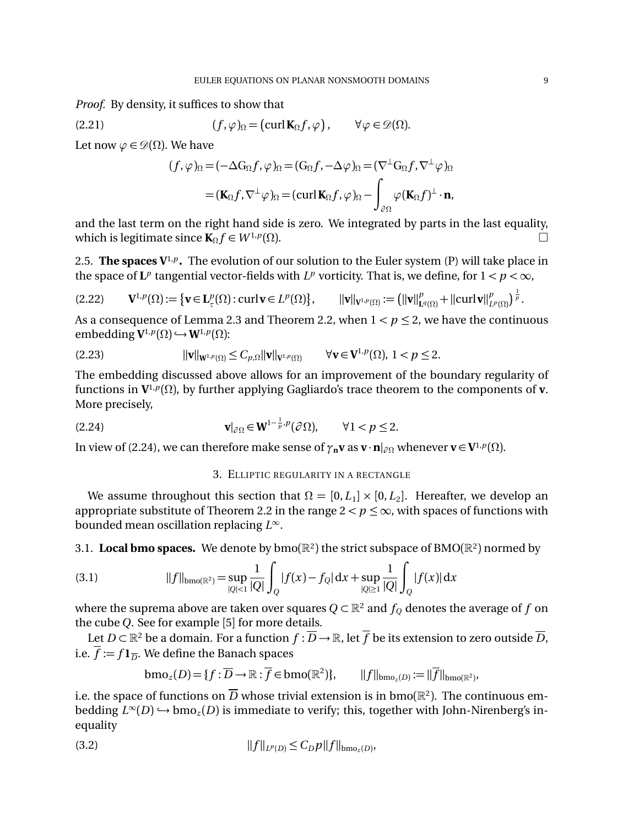*Proof.* By density, it suffices to show that

(2.21) 
$$
(f, \varphi)_{\Omega} = (\operatorname{curl} \mathbf{K}_{\Omega} f, \varphi), \qquad \forall \varphi \in \mathscr{D}(\Omega).
$$

Let now  $\varphi \in \mathcal{D}(\Omega)$ . We have

$$
(f, \varphi)_{\Omega} = (-\Delta G_{\Omega} f, \varphi)_{\Omega} = (G_{\Omega} f, -\Delta \varphi)_{\Omega} = (\nabla^{\perp} G_{\Omega} f, \nabla^{\perp} \varphi)_{\Omega}
$$

$$
= (\mathbf{K}_{\Omega} f, \nabla^{\perp} \varphi)_{\Omega} = (\operatorname{curl} \mathbf{K}_{\Omega} f, \varphi)_{\Omega} - \int_{\partial \Omega} \varphi (\mathbf{K}_{\Omega} f)^{\perp} \cdot \mathbf{n},
$$

and the last term on the right hand side is zero. We integrated by parts in the last equality, which is legitimate since  $\mathbf{K}_{\Omega} f \in W^{1,p}(\Omega)$ .

2.5. **The spaces**  $V^{1,p}$ **.** The evolution of our solution to the Euler system (P) will take place in the space of  $L^p$  tangential vector-fields with  $L^p$  vorticity. That is, we define, for  $1 < p < \infty$ ,

$$
(2.22) \qquad \mathbf{V}^{1,p}(\Omega) := \{ \mathbf{v} \in \mathbf{L}_{\tau}^{p}(\Omega) : \operatorname{curl} \mathbf{v} \in L^{p}(\Omega) \}, \qquad ||\mathbf{v}||_{\mathbf{V}^{1,p}(\Omega)} := (||\mathbf{v}||_{\mathbf{L}^{q}(\Omega)}^{p} + ||\operatorname{curl} \mathbf{v}||_{L^{p}(\Omega)}^{p})^{\frac{1}{p}}.
$$

As a consequence of Lemma 2.3 and Theorem 2.2, when  $1 < p \le 2$ , we have the continuous embedding  $V^{1,p}(\Omega) \hookrightarrow W^{1,p}(\Omega)$ :

$$
\|\mathbf{v}\|_{\mathbf{W}^{1,p}(\Omega)} \leq C_{p,\Omega} \|\mathbf{v}\|_{\mathbf{V}^{1,p}(\Omega)} \qquad \forall \mathbf{v} \in \mathbf{V}^{1,p}(\Omega), \ 1 < p \leq 2.
$$

The embedding discussed above allows for an improvement of the boundary regularity of functions in  $V^{1,p}(\Omega)$ , by further applying Gagliardo's trace theorem to the components of **v**. More precisely,

(2.24) 
$$
\mathbf{v}|_{\partial\Omega} \in \mathbf{W}^{1-\frac{1}{p},p}(\partial\Omega), \qquad \forall 1 < p \le 2.
$$

In view of (2.24), we can therefore make sense of  $\gamma_n \mathbf{v}$  as  $\mathbf{v} \cdot \mathbf{n}|_{\partial\Omega}$  whenever  $\mathbf{v} \in \mathbf{V}^{1,p}(\Omega)$ .

#### 3. ELLIPTIC REGULARITY IN A RECTANGLE

We assume throughout this section that  $\Omega = [0, L_1] \times [0, L_2]$ . Hereafter, we develop an appropriate substitute of Theorem 2.2 in the range  $2 < p \leq \infty$ , with spaces of functions with bounded mean oscillation replacing  $L^{\infty}$ .

3.1. **Local bmo spaces.** We denote by  $b \text{mo}(\mathbb{R}^2)$  the strict subspace of BMO( $\mathbb{R}^2$ ) normed by

(3.1) 
$$
||f||_{bmo(\mathbb{R}^2)} = \sup_{|Q| < 1} \frac{1}{|Q|} \int_Q |f(x) - f_Q| \, dx + \sup_{|Q| \ge 1} \frac{1}{|Q|} \int_Q |f(x)| \, dx
$$

where the suprema above are taken over squares  $Q \subset \mathbb{R}^2$  and  $f_Q$  denotes the average of *f* on the cube *Q*. See for example [5] for more details.

Let  $D \subset \mathbb{R}^2$  be a domain. For a function  $f : \overline{D} \to \mathbb{R}$ , let  $\overline{f}$  be its extension to zero outside  $\overline{D}$ , i.e.  $\overline{f} := f \mathbf{1}_{\overline{D}}$ . We define the Banach spaces

$$
\text{bmo}_z(D) = \{f : \overline{D} \to \mathbb{R} : \overline{f} \in \text{bmo}(\mathbb{R}^2) \}, \qquad ||f||_{\text{bmo}_z(D)} := ||\overline{f}||_{\text{bmo}(\mathbb{R}^2)},
$$

i.e. the space of functions on  $\overline{D}$  whose trivial extension is in bmo( $\mathbb{R}^2$ ). The continuous embedding  $L^{\infty}(D) \hookrightarrow \text{bmo}_z(D)$  is immediate to verify; this, together with John-Nirenberg's inequality

(3.2) 
$$
||f||_{L^p(D)} \leq C_D p ||f||_{bmo_z(D)},
$$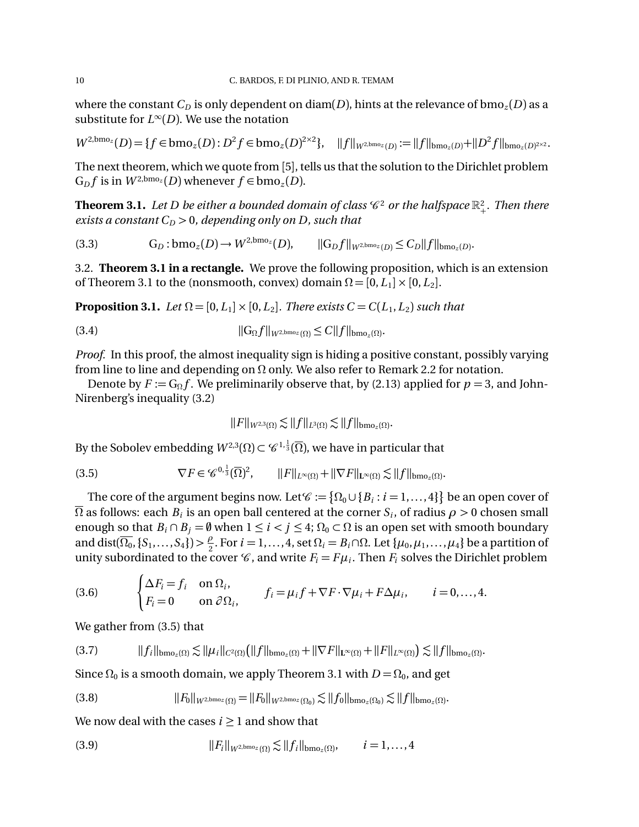where the constant  $C_D$  is only dependent on diam(*D*), hints at the relevance of bmo<sub>*z*</sub>(*D*) as a substitute for  $L^{\infty}(D)$ . We use the notation

$$
W^{2,\text{bmo}_z}(D) = \{f \in \text{bmo}_z(D) : D^2 f \in \text{bmo}_z(D)^{2 \times 2}\}, \quad ||f||_{W^{2,\text{bmo}_z}(D)} := ||f||_{\text{bmo}_z(D)} + ||D^2 f||_{\text{bmo}_z(D)^{2 \times 2}}.
$$

The next theorem, which we quote from [5], tells us that the solution to the Dirichlet problem G<sub>D</sub> $f$  is in  $W^{2,\text{bmo}_z}(D)$  whenever  $f \in \text{bmo}_z(D)$ .

**Theorem 3.1.** Let D be either a bounded domain of class  $\mathscr{C}^2$  or the halfspace  $\mathbb{R}^2_+$ . Then there *exists a constant*  $C_D > 0$ *, depending only on D, such that* 

$$
(3.3) \tG_D: bmo_z(D) \to W^{2,bmo_z}(D), \t||G_Df||_{W^{2,bmo_z}(D)} \leq C_D||f||_{bmo_z(D)}.
$$

3.2. **Theorem 3.1 in a rectangle.** We prove the following proposition, which is an extension of Theorem 3.1 to the (nonsmooth, convex) domain  $\Omega = [0, L_1] \times [0, L_2]$ .

**Proposition 3.1.** *Let*  $\Omega = [0, L_1] \times [0, L_2]$ *. There exists*  $C = C(L_1, L_2)$  *such that* 

$$
||G_{\Omega}f||_{W^{2,\text{bmo}_{z}}(\Omega)} \leq C||f||_{bmo_{z}(\Omega)}.
$$

*Proof.* In this proof, the almost inequality sign is hiding a positive constant, possibly varying from line to line and depending on  $\Omega$  only. We also refer to Remark 2.2 for notation.

Denote by  $F := G_{\Omega} f$ . We preliminarily observe that, by (2.13) applied for  $p = 3$ , and John-Nirenberg's inequality (3.2)

$$
||F||_{W^{2,3}(\Omega)} \lesssim ||f||_{L^3(\Omega)} \lesssim ||f||_{bmo_z(\Omega)}.
$$

By the Sobolev embedding  $W^{2,3}(\Omega) \subset \mathscr{C}^{1,\frac{1}{3}}(\overline{\Omega})$ , we have in particular that

(3.5) 
$$
\nabla F \in \mathscr{C}^{0,\frac{1}{3}}(\overline{\Omega})^2, \qquad ||F||_{L^{\infty}(\Omega)} + ||\nabla F||_{L^{\infty}(\Omega)} \lesssim ||f||_{bmo_{z}(\Omega)}.
$$

The core of the argument begins now. Let  $\mathscr{C} := \{ \Omega_0 \cup \{ B_i : i = 1, ..., 4 \} \}$  be an open cover of  $\Omega$  as follows: each  $B_i$  is an open ball centered at the corner  $S_i$ , of radius  $\rho > 0$  chosen small enough so that  $B_i \cap B_j = \emptyset$  when  $1 \le i < j \le 4$ ;  $\Omega_0 \subset \Omega$  is an open set with smooth boundary and dist( $\overline{\Omega_0}$ ,  $\{S_1,\ldots,S_4\}$ )  $> \frac{\rho}{2}$ . For  $i=1,\ldots,4$ , set  $\Omega_i=B_i\cap\Omega$ . Let  $\{\mu_0,\mu_1,\ldots,\mu_4\}$  be a partition of unity subordinated to the cover  $\mathcal{C}$ , and write  $F_i = F\mu_i$ . Then  $F_i$  solves the Dirichlet problem

(3.6) 
$$
\begin{cases} \Delta F_i = f_i & \text{on } \Omega_i, \\ F_i = 0 & \text{on } \partial \Omega_i, \end{cases} \qquad f_i = \mu_i f + \nabla F \cdot \nabla \mu_i + F \Delta \mu_i, \qquad i = 0, ..., 4.
$$

We gather from (3.5) that

$$
(3.7) \t\t\t\t||fi||bmoz(\Omega) \lesssim ||\mui||C2(\Omega)(||f||bmoz(\Omega) + ||\nabla F||L\infty(\Omega) + ||F||L\infty(\Omega)) \lesssim ||f||bmoz(\Omega).
$$

Since  $\Omega_0$  is a smooth domain, we apply Theorem 3.1 with  $D = \Omega_0$ , and get

$$
(3.8) \t\t ||F_0||_{W^{2,\text{bmo}_z}(\Omega)} = ||F_0||_{W^{2,\text{bmo}_z}(\Omega_0)} \lesssim ||f_0||_{bmo_z(\Omega_0)} \lesssim ||f||_{bmo_z(\Omega)}.
$$

We now deal with the cases  $i \geq 1$  and show that

(3.9) 
$$
||F_i||_{W^{2,\text{bmo}_z}(\Omega)} \lesssim ||f_i||_{\text{bmo}_z(\Omega)}, \qquad i = 1,...,4
$$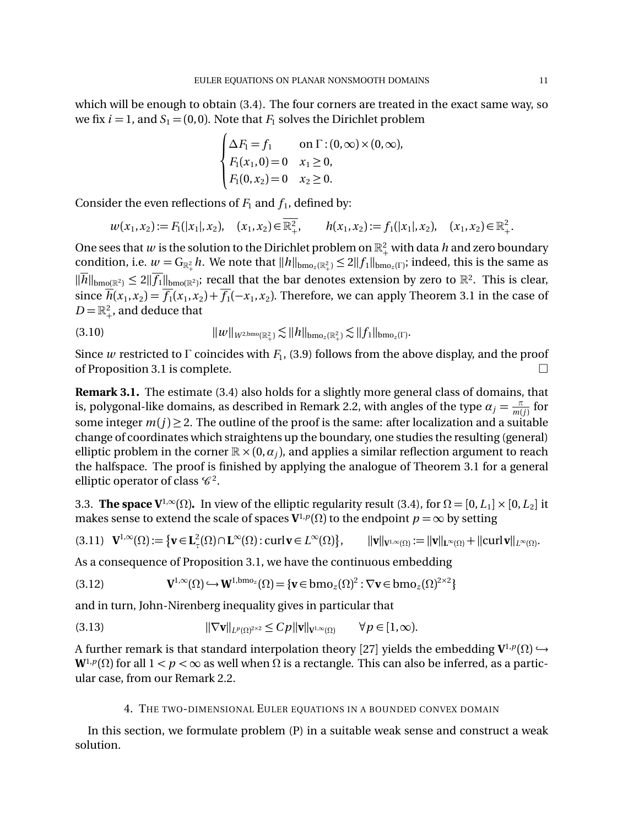which will be enough to obtain (3.4). The four corners are treated in the exact same way, so we fix  $i = 1$ , and  $S_1 = (0, 0)$ . Note that  $F_1$  solves the Dirichlet problem

$$
\begin{cases} \Delta F_1 = f_1 & \text{on } \Gamma : (0, \infty) \times (0, \infty), \\ F_1(x_1, 0) = 0 & x_1 \ge 0, \\ F_1(0, x_2) = 0 & x_2 \ge 0. \end{cases}
$$

Consider the even reflections of  $F_1$  and  $f_1$ , defined by:

$$
w(x_1, x_2) := F_1(|x_1|, x_2), \quad (x_1, x_2) \in \overline{\mathbb{R}^2_+}, \qquad h(x_1, x_2) := f_1(|x_1|, x_2), \quad (x_1, x_2) \in \mathbb{R}^2_+.
$$

One sees that *w* is the solution to the Dirichlet problem on  $\mathbb{R}^2_+$  with data *h* and zero boundary condition, i.e.  $w = G_{\mathbb{R}_+^2} h$ . We note that  $\|h\|_{\text{bmo}_z(\mathbb{R}_+^2)} \le 2\|f_1\|_{\text{bmo}_z(\Gamma)}$ ; indeed, this is the same as  $\|\overline{h}\|_{\text{bmo}(\mathbb{R}^2)} \leq 2\|\overline{f_1}\|_{\text{bmo}(\mathbb{R}^2)}$ ; recall that the bar denotes extension by zero to  $\mathbb{R}^2$ . This is clear, since  $\overline{h}(x_1, x_2) = \overline{f_1}(x_1, x_2) + \overline{f_1}(-x_1, x_2)$ . Therefore, we can apply Theorem 3.1 in the case of  $D = \mathbb{R}^2_+$ , and deduce that

$$
||w||_{W^{2,\text{bmo}}(\mathbb{R}^2_+)} \lesssim ||h||_{bmo_z(\mathbb{R}^2_+)} \lesssim ||f_1||_{bmo_z(\Gamma)}.
$$

Since *w* restricted to  $\Gamma$  coincides with  $F_1$ , (3.9) follows from the above display, and the proof of Proposition 3.1 is complete.

**Remark 3.1.** The estimate (3.4) also holds for a slightly more general class of domains, that is, polygonal-like domains, as described in Remark 2.2, with angles of the type  $\alpha_j = \frac{\pi}{m(j)}$  for some integer  $m(j) \geq 2$ . The outline of the proof is the same: after localization and a suitable change of coordinates which straightens up the boundary, one studies the resulting (general) elliptic problem in the corner  $\mathbb{R} \times (0, \alpha_i)$ , and applies a similar reflection argument to reach the halfspace. The proof is finished by applying the analogue of Theorem 3.1 for a general elliptic operator of class  $\mathscr{C}^2$ .

3.3. **The space V**<sup>1, $\infty$ </sup>( $\Omega$ ). In view of the elliptic regularity result (3.4), for  $\Omega = [0, L_1] \times [0, L_2]$  it makes sense to extend the scale of spaces  $V^{1,p}(\Omega)$  to the endpoint  $p = \infty$  by setting

$$
(3.11) \quad \mathbf{V}^{1,\infty}(\Omega) := \{ \mathbf{v} \in \mathbf{L}^2_{\tau}(\Omega) \cap \mathbf{L}^{\infty}(\Omega) : \operatorname{curl} \mathbf{v} \in L^{\infty}(\Omega) \}, \qquad ||\mathbf{v}||_{\mathbf{V}^{1,\infty}(\Omega)} := ||\mathbf{v}||_{\mathbf{L}^{\infty}(\Omega)} + ||\operatorname{curl} \mathbf{v}||_{L^{\infty}(\Omega)}.
$$

As a consequence of Proposition 3.1, we have the continuous embedding

(3.12) 
$$
\mathbf{V}^{1,\infty}(\Omega) \hookrightarrow \mathbf{W}^{1,\text{bmo}_z}(\Omega) = \{\mathbf{v} \in \text{bmo}_z(\Omega)^2 : \nabla \mathbf{v} \in \text{bmo}_z(\Omega)^{2\times 2}\}
$$

and in turn, John-Nirenberg inequality gives in particular that

(3.13) 
$$
\|\nabla \mathbf{v}\|_{L^p(\Omega)^{2\times 2}} \leq Cp\|\mathbf{v}\|_{\mathbf{V}^{1,\infty}(\Omega)} \qquad \forall p \in [1,\infty).
$$

A further remark is that standard interpolation theory [27] yields the embedding  $V^{1,p}(\Omega) \hookrightarrow$  $W^{1,p}(\Omega)$  for all  $1 < p < \infty$  as well when  $\Omega$  is a rectangle. This can also be inferred, as a particular case, from our Remark 2.2.

#### 4. THE TWO-DIMENSIONAL EULER EQUATIONS IN A BOUNDED CONVEX DOMAIN

In this section, we formulate problem (P) in a suitable weak sense and construct a weak solution.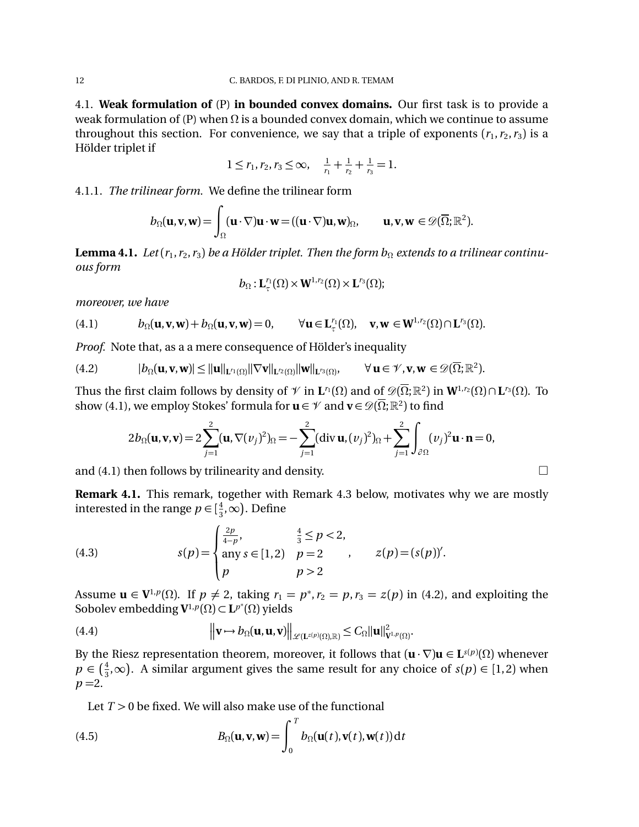4.1. **Weak formulation of** (P) **in bounded convex domains.** Our first task is to provide a weak formulation of (P) when  $\Omega$  is a bounded convex domain, which we continue to assume throughout this section. For convenience, we say that a triple of exponents  $(r_1, r_2, r_3)$  is a Hölder triplet if

$$
1 \le r_1, r_2, r_3 \le \infty, \quad \frac{1}{r_1} + \frac{1}{r_2} + \frac{1}{r_3} = 1.
$$

4.1.1. *The trilinear form.* We define the trilinear form

$$
b_{\Omega}(\mathbf{u}, \mathbf{v}, \mathbf{w}) = \int_{\Omega} (\mathbf{u} \cdot \nabla) \mathbf{u} \cdot \mathbf{w} = ((\mathbf{u} \cdot \nabla) \mathbf{u}, \mathbf{w})_{\Omega}, \qquad \mathbf{u}, \mathbf{v}, \mathbf{w} \in \mathscr{D}(\overline{\Omega}; \mathbb{R}^2).
$$

**Lemma 4.1.** *Let*  $(r_1, r_2, r_3)$  *be a Hölder triplet. Then the form*  $b_{\Omega}$  *extends to a trilinear continuous form*

$$
b_{\Omega}: \mathbf{L}_{\tau}^{r_1}(\Omega) \times \mathbf{W}^{1,r_2}(\Omega) \times \mathbf{L}^{r_3}(\Omega);
$$

*moreover, we have*

(4.1) 
$$
b_{\Omega}(\mathbf{u}, \mathbf{v}, \mathbf{w}) + b_{\Omega}(\mathbf{u}, \mathbf{v}, \mathbf{w}) = 0, \qquad \forall \mathbf{u} \in \mathbf{L}_{\tau}^{r_1}(\Omega), \quad \mathbf{v}, \mathbf{w} \in \mathbf{W}^{1, r_2}(\Omega) \cap \mathbf{L}^{r_3}(\Omega).
$$

*Proof.* Note that, as a a mere consequence of Hölder's inequality

$$
(4.2) \t\t |b_{\Omega}(\mathbf{u}, \mathbf{v}, \mathbf{w})| \leq ||\mathbf{u}||_{\mathbf{L}^{r_1}(\Omega)} ||\nabla \mathbf{v}||_{\mathbf{L}^{r_2}(\Omega)} ||\mathbf{w}||_{\mathbf{L}^{r_3}(\Omega)}, \t\forall \mathbf{u} \in \mathcal{V}, \mathbf{v}, \mathbf{w} \in \mathcal{D}(\overline{\Omega}; \mathbb{R}^2).
$$

Thus the first claim follows by density of  $\mathcal{V}$  in  $\mathbf{L}^{r_1}(\Omega)$  and of  $\mathcal{D}(\overline{\Omega};\mathbb{R}^2)$  in  $\mathbf{W}^{1,r_2}(\Omega) \cap \mathbf{L}^{r_3}(\Omega)$ . To show (4.1), we employ Stokes' formula for  $\mathbf{u} \in \mathcal{V}$  and  $\mathbf{v} \in \mathcal{D}(\overline{\Omega};\mathbb{R}^2)$  to find

$$
2b_{\Omega}(\mathbf{u}, \mathbf{v}, \mathbf{v}) = 2\sum_{j=1}^{2} (\mathbf{u}, \nabla(v_j)^2)_{\Omega} = -\sum_{j=1}^{2} (\text{div } \mathbf{u}, (v_j)^2)_{\Omega} + \sum_{j=1}^{2} \int_{\partial \Omega} (v_j)^2 \mathbf{u} \cdot \mathbf{n} = 0,
$$

and (4.1) then follows by trilinearity and density.  $\Box$ 

**Remark 4.1.** This remark, together with Remark 4.3 below, motivates why we are mostly interested in the range  $p \in [\frac{4}{3}, \infty)$ . Define

(4.3) 
$$
s(p) = \begin{cases} \frac{2p}{4-p}, & \frac{4}{3} \le p < 2, \\ \text{any } s \in [1,2) & p = 2 \\ p & p > 2 \end{cases}, \quad z(p) = (s(p))'.
$$

Assume  $\mathbf{u} \in \mathbf{V}^{1,p}(\Omega)$ . If  $p \neq 2$ , taking  $r_1 = p^*, r_2 = p, r_3 = z(p)$  in (4.2), and exploiting the Sobolev embedding  $\mathbf{V}^{1,p}(\Omega) \subset \mathbf{L}^{p^*}(\Omega)$  yields

(4.4) 
$$
\|\mathbf{v}\mapsto b_{\Omega}(\mathbf{u},\mathbf{u},\mathbf{v})\|_{\mathscr{L}(\mathbf{L}^{z(\mathbf{p})}(\Omega),\mathbb{R})}\leq C_{\Omega}\|\mathbf{u}\|_{\mathbf{V}^{1,p}(\Omega)}^2.
$$

By the Riesz representation theorem, moreover, it follows that  $(\mathbf{u} \cdot \nabla) \mathbf{u} \in \mathbf{L}^{s(p)}(\Omega)$  whenever  $p \in (\frac{4}{3}, \infty)$ . A similar argument gives the same result for any choice of *s*(*p*)  $\in$  [1, 2) when  $p = 2$ .

Let  $T > 0$  be fixed. We will also make use of the functional

(4.5) 
$$
B_{\Omega}(\mathbf{u}, \mathbf{v}, \mathbf{w}) = \int_0^T b_{\Omega}(\mathbf{u}(t), \mathbf{v}(t), \mathbf{w}(t)) dt
$$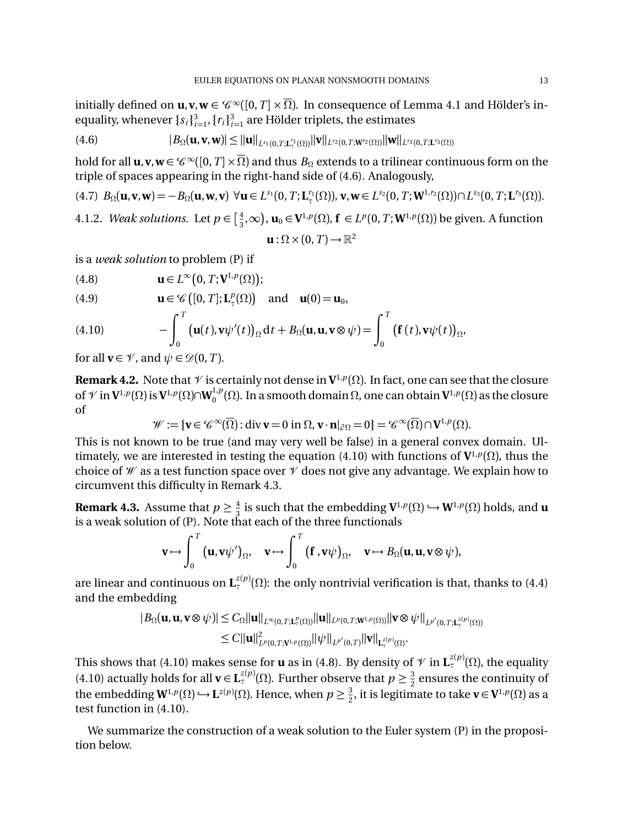initially defined on  $\mathbf{u}, \mathbf{v}, \mathbf{w} \in \mathcal{C}^{\infty}([0,T] \times \overline{\Omega})$ . In consequence of Lemma 4.1 and Hölder's inequality, whenever  $\{s_i\}_{i=1}^3$ ,  $\{r_i\}_{i=1}^3$  are Hölder triplets, the estimates

$$
(4.6) \t|B_{\Omega}(\mathbf{u}, \mathbf{v}, \mathbf{w})| \leq ||\mathbf{u}||_{L^{s_1}(0,T; \mathbf{L}^{r_1}_{\tau}(\Omega))}||\mathbf{v}||_{L^{s_2}(0,T; \mathbf{W}^{r_2}(\Omega))}||\mathbf{w}||_{L^{s_3}(0,T; \mathbf{L}^{r_3}(\Omega))}
$$

hold for all  $\mathbf{u}, \mathbf{v}, \mathbf{w} \in \mathscr{C}^{\infty}([0,T] \times \overline{\Omega})$  and thus  $B_{\Omega}$  extends to a trilinear continuous form on the triple of spaces appearing in the right-hand side of (4.6). Analogously,

(4.7)  $B_{\Omega}(\mathbf{u}, \mathbf{v}, \mathbf{w}) = -B_{\Omega}(\mathbf{u}, \mathbf{w}, \mathbf{v}) \ \forall \mathbf{u} \in L^{s_1}(0, T; \mathbf{L}_\tau^{r_1}(\Omega)), \mathbf{v}, \mathbf{w} \in L^{s_2}(0, T; \mathbf{W}^{1, r_2}(\Omega)) \cap L^{s_3}(0, T; \mathbf{L}^{r_3}(\Omega)).$ 

4.1.2. *Weak solutions.* Let  $p \in \left[\frac{4}{3}, \infty\right)$ ,  $\mathbf{u}_0 \in \mathbf{V}^{1,p}(\Omega)$ ,  $\mathbf{f} \in L^p(0,T; \mathbf{W}^{1,p}(\Omega))$  be given. A function

$$
\mathbf{u} : \Omega \times (0, T) \to \mathbb{R}^2
$$

is a *weak solution* to problem (P) if

(4.8)  $\mathbf{u} \in L^{\infty}(0, T; \mathbf{V}^{1,p}(\Omega));$ 

(4.9) 
$$
\mathbf{u} \in \mathscr{C}\big([0,T];\mathbf{L}^p_{\tau}(\Omega)\big) \text{ and } \mathbf{u}(0) = \mathbf{u}_0,
$$

(4.10) 
$$
-\int_0^T \left(\mathbf{u}(t), \mathbf{v}\psi'(t)\right)_{\Omega} dt + B_{\Omega}(\mathbf{u}, \mathbf{u}, \mathbf{v}\otimes \psi) = \int_0^T \left(\mathbf{f}(t), \mathbf{v}\psi(t)\right)_{\Omega},
$$

for all  $\mathbf{v} \in \mathcal{V}$ , and  $\psi \in \mathcal{D}(0,T)$ .

**Remark 4.2.** Note that  $\mathcal V$  is certainly not dense in  $V^{1,p}(\Omega)$ . In fact, one can see that the closure of  $\mathcal V$  in  $\mathbf V^{1,p}(\Omega)$  is  $\mathbf V^{1,p}(\Omega)\cap \mathbf W_0^{1,p}(\Omega)$ . In a smooth domain  $\Omega$ , one can obtain  $\mathbf V^{1,p}(\Omega)$  as the closure of

$$
\mathscr{W} := \{ \mathbf{v} \in \mathscr{C}^{\infty}(\overline{\Omega}) : \text{div}\,\mathbf{v} = 0 \text{ in } \Omega, \mathbf{v} \cdot \mathbf{n} |_{\partial \Omega} = 0 \} = \mathscr{C}^{\infty}(\overline{\Omega}) \cap \mathbf{V}^{1,p}(\Omega).
$$

This is not known to be true (and may very well be false) in a general convex domain. Ultimately, we are interested in testing the equation (4.10) with functions of  ${\bf V}^{1,p}(\Omega)$ , thus the choice of  $\mathcal W$  as a test function space over  $\mathcal V$  does not give any advantage. We explain how to circumvent this difficulty in Remark 4.3.

**Remark 4.3.** Assume that  $p \ge \frac{4}{3}$  is such that the embedding  $V^{1,p}(\Omega) \hookrightarrow W^{1,p}(\Omega)$  holds, and **u** is a weak solution of (P). Note that each of the three functionals

$$
\mathbf{v}\mapsto\int_0^T\big(\mathbf{u},\mathbf{v}\psi'\big)_{\Omega},\quad \mathbf{v}\mapsto\int_0^T\big(\mathbf{f}\,,\mathbf{v}\psi\big)_{\Omega},\quad \mathbf{v}\mapsto B_{\Omega}(\mathbf{u},\mathbf{u},\mathbf{v}\otimes\psi),
$$

are linear and continuous on  $\mathbf{L}_{\tau}^{z(p)}(\Omega)$ : the only nontrivial verification is that, thanks to (4.4) and the embedding

$$
|B_{\Omega}(\mathbf{u}, \mathbf{u}, \mathbf{v} \otimes \psi)| \leq C_{\Omega} \|\mathbf{u}\|_{L^{\infty}(0,T; \mathbf{L}^{p}(\Omega))} \|\mathbf{u}\|_{L^{p}(0,T; \mathbf{W}^{1,p}(\Omega))} \|\mathbf{v} \otimes \psi\|_{L^{p'}(0,T; \mathbf{L}^{z(p)}(\Omega))}
$$
  

$$
\leq C \|\mathbf{u}\|_{L^{p}(0,T; \mathbf{V}^{1,p}(\Omega))}^{2} \|\psi\|_{L^{p'}(0,T)} \|\mathbf{v}\|_{\mathbf{L}^{z(p)}(\Omega)}.
$$

This shows that (4.10) makes sense for **u** as in (4.8). By density of  $\mathcal V$  in  $\mathbf L^{z(p)}_{\tau}(\Omega)$ , the equality (4.10) actually holds for all  $\mathbf{v} \in \mathbf{L}_{\tau}^{z(p)}(\Omega)$ . Further observe that  $p \geq \frac{3}{2}$  ensures the continuity of the embedding  $W^{1,p}(\Omega) \hookrightarrow L^{z(p)}(\Omega)$ . Hence, when  $p \geq \frac{3}{2}$ , it is legitimate to take  $\mathbf{v} \in V^{1,p}(\Omega)$  as a test function in (4.10).

We summarize the construction of a weak solution to the Euler system (P) in the proposition below.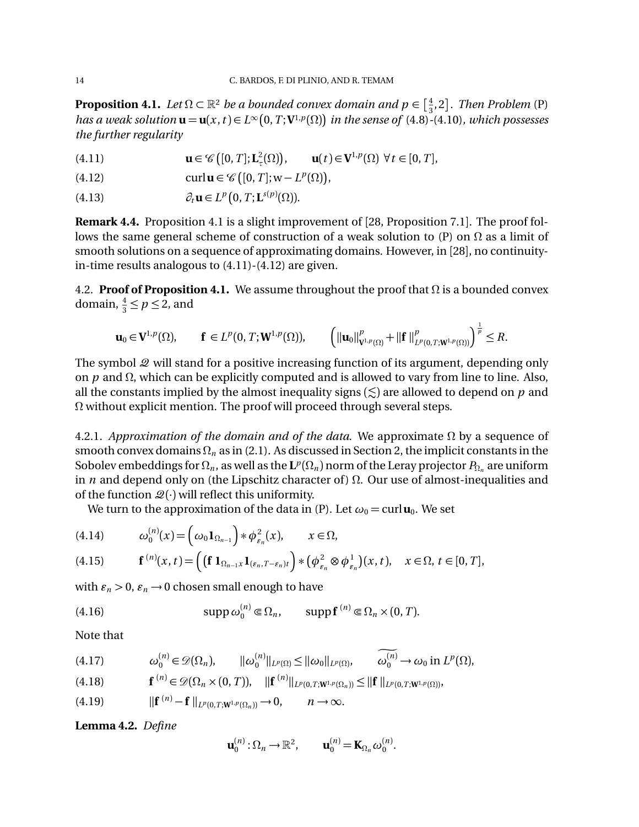**Proposition 4.1.** Let  $\Omega \subset \mathbb{R}^2$  be a bounded convex domain and  $p \in \left[\frac{4}{3}, 2\right]$ . Then Problem (P) *has a weak solution*  $\mathbf{u} = \mathbf{u}(x,t) \in L^{\infty}(0,T; \mathbf{V}^{1,p}(\Omega))$  in the sense of (4.8)-(4.10), which possesses *the further regularity*

(4.11)  $\mathbf{u} \in \mathscr{C}\big([0, T]; \mathbf{L}_{\tau}^{2}(\Omega)\big), \qquad \mathbf{u}(t) \in \mathbf{V}^{1, p}(\Omega) \,\,\forall \, t \in [0, T],$ 

(4.12)  $\text{curl } \mathbf{u} \in \mathscr{C}([0, T]; \mathbf{w} - L^p(\Omega)),$ 

(4.13)  $\partial_t \mathbf{u} \in L^p\big(0, T; \mathbf{L}^{s(p)}(\Omega)\big).$ 

**Remark 4.4.** Proposition 4.1 is a slight improvement of [28, Proposition 7.1]. The proof follows the same general scheme of construction of a weak solution to (P) on  $\Omega$  as a limit of smooth solutions on a sequence of approximating domains. However, in [28], no continuityin-time results analogous to (4.11)-(4.12) are given.

4.2. **Proof of Proposition 4.1.** We assume throughout the proof that  $\Omega$  is a bounded convex domain,  $\frac{4}{3} \le p \le 2$ , and

$$
\mathbf{u}_0 \in \mathbf{V}^{1,p}(\Omega), \qquad \mathbf{f} \in L^p(0,T; \mathbf{W}^{1,p}(\Omega)), \qquad \left( \|\mathbf{u}_0\|_{\mathbf{V}^{1,p}(\Omega)}^p + \|\mathbf{f}\|_{L^p(0,T; \mathbf{W}^{1,p}(\Omega))}^p \right)^{\frac{1}{p}} \leq R.
$$

The symbol  $\mathcal Q$  will stand for a positive increasing function of its argument, depending only on  $p$  and  $\Omega$ , which can be explicitly computed and is allowed to vary from line to line. Also, all the constants implied by the almost inequality signs  $(\leq)$  are allowed to depend on  $p$  and  $\Omega$  without explicit mention. The proof will proceed through several steps.

4.2.1. *Approximation of the domain and of the data*. We approximate  $\Omega$  by a sequence of smooth convex domains  $\Omega_n$  as in (2.1). As discussed in Section 2, the implicit constants in the Sobolev embeddings for  $\Omega_n$ , as well as the  $\mathbf{L}^p(\Omega_n)$  norm of the Leray projector  $P_{\Omega_n}$  are uniform in *n* and depend only on (the Lipschitz character of)  $\Omega$ . Our use of almost-inequalities and of the function  $\mathcal{Q}(\cdot)$  will reflect this uniformity.

We turn to the approximation of the data in (P). Let  $\omega_0 = \text{curl } \mathbf{u}_0$ . We set

$$
(4.14) \qquad \omega_0^{(n)}(x) = \left(\omega_0 \mathbf{1}_{\Omega_{n-1}}\right) * \phi_{\varepsilon_n}^2(x), \qquad x \in \Omega,
$$

$$
(4.15) \qquad \mathbf{f}^{(n)}(x,t) = \left( \left( \mathbf{f} \, \mathbf{1}_{\Omega_{n-1}x} \mathbf{1}_{(\varepsilon_n, T - \varepsilon_n)t} \right) \ast \left( \phi_{\varepsilon_n}^2 \otimes \phi_{\varepsilon_n}^1 \right) (x,t), \quad x \in \Omega, t \in [0,T],
$$

with  $\varepsilon_n > 0$ ,  $\varepsilon_n \to 0$  chosen small enough to have

(4.16) 
$$
\text{supp }\omega_0^{(n)} \in \Omega_n, \quad \text{supp } f^{(n)} \in \Omega_n \times (0, T).
$$

Note that

$$
(4.17) \t\t \omega_0^{(n)} \in \mathcal{D}(\Omega_n), \t ||\omega_0^{(n)}||_{L^p(\Omega)} \leq ||\omega_0||_{L^p(\Omega)}, \t \omega_0^{(n)} \to \omega_0 \text{ in } L^p(\Omega),
$$

$$
(4.18) \t\t \mathbf{f}^{(n)} \in \mathscr{D}(\Omega_n \times (0,T)), \t ||\mathbf{f}^{(n)}||_{L^p(0,T;W^{1,p}(\Omega_n))} \leq ||\mathbf{f}||_{L^p(0,T;W^{1,p}(\Omega))},
$$

$$
(4.19) \t\t ||{\bf f}^{(n)}-{\bf f}||_{L^p(0,T;{\bf W}^{1,p}(\Omega_n))}\to 0, \t n\to\infty.
$$

**Lemma 4.2.** *Define*

$$
\mathbf{u}_0^{(n)}:\Omega_n\to\mathbb{R}^2,\qquad \mathbf{u}_0^{(n)}=\mathbf{K}_{\Omega_n}\omega_0^{(n)}.
$$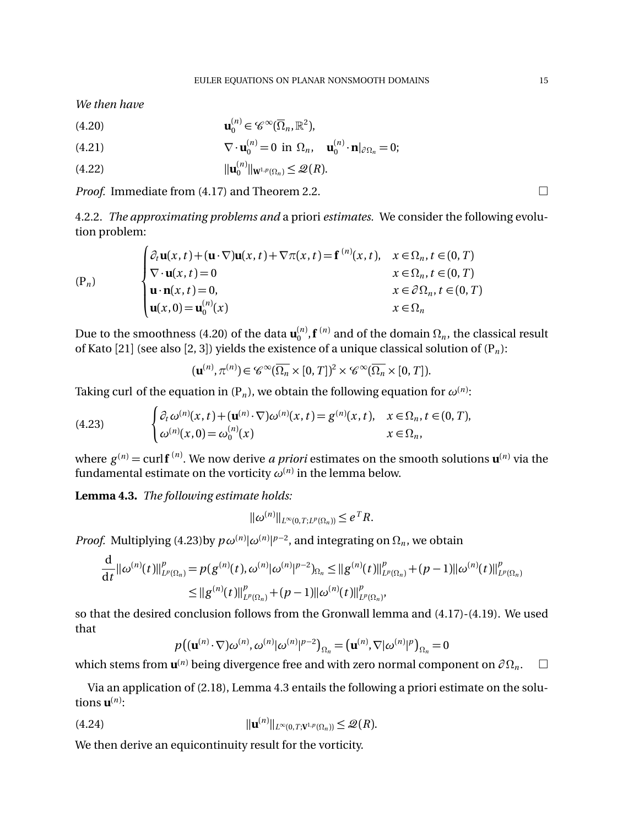*We then have*

(4.20)  $\mathbf{u}_0^{(n)} \in \mathscr{C}^{\infty}(\overline{\Omega}_n,\mathbb{R}^2),$ 

(4.21) 
$$
\nabla \cdot \mathbf{u}_0^{(n)} = 0 \text{ in } \Omega_n, \quad \mathbf{u}_0^{(n)} \cdot \mathbf{n}|_{\partial \Omega_n} = 0;
$$

$$
||\mathbf{u}_{0}^{(n)}||_{\mathbf{W}^{1,p}(\Omega_{n})} \leq \mathcal{Q}(R).
$$

*Proof.* Immediate from  $(4.17)$  and Theorem 2.2.  $\Box$ 

4.2.2. *The approximating problems and* a priori *estimates.* We consider the following evolution problem:

$$
\begin{cases}\n\partial_t \mathbf{u}(x, t) + (\mathbf{u} \cdot \nabla) \mathbf{u}(x, t) + \nabla \pi(x, t) = \mathbf{f}^{(n)}(x, t), & x \in \Omega_n, t \in (0, T) \\
\nabla \cdot \mathbf{u}(x, t) = 0 & x \in \Omega_n, t \in (0, T) \\
\mathbf{u} \cdot \mathbf{n}(x, t) = 0, & x \in \partial \Omega_n, t \in (0, T) \\
\mathbf{u}(x, 0) = \mathbf{u}_0^{(n)}(x) & x \in \Omega_n\n\end{cases}
$$

Due to the smoothness (4.20) of the data  $\mathbf{u}_0^{(n)}$ ,  $\mathbf{f}^{(n)}$  and of the domain  $\Omega_n$ , the classical result of Kato [21] (see also [2, 3]) yields the existence of a unique classical solution of  $(P_n)$ :

$$
(\mathbf{u}^{(n)}, \pi^{(n)}) \in \mathscr{C}^{\infty}(\overline{\Omega_n} \times [0, T])^2 \times \mathscr{C}^{\infty}(\overline{\Omega_n} \times [0, T]).
$$

Taking curl of the equation in (P<sub>n</sub>), we obtain the following equation for  $\omega^{(n)}$ :

(4.23) 
$$
\begin{cases} \partial_t \omega^{(n)}(x,t) + (\mathbf{u}^{(n)} \cdot \nabla) \omega^{(n)}(x,t) = g^{(n)}(x,t), & x \in \Omega_n, t \in (0,T), \\ \omega^{(n)}(x,0) = \omega_0^{(n)}(x) & x \in \Omega_n, \end{cases}
$$

where *g* (*n*) = curl**f** (*n*) . We now derive *a priori* estimates on the smooth solutions **u**(*n*) via the fundamental estimate on the vorticity  $\omega^{(n)}$  in the lemma below.

**Lemma 4.3.** *The following estimate holds:*

$$
\|\omega^{(n)}\|_{L^{\infty}(0,T;L^p(\Omega_n))}\leq e^T R.
$$

*Proof.* Multiplying (4.23)by  $p\omega^{(n)}|\omega^{(n)}|^{p-2}$ , and integrating on  $\Omega_n$ , we obtain

$$
\frac{d}{dt} ||\omega^{(n)}(t)||_{L^p(\Omega_n)}^p = p(g^{(n)}(t), \omega^{(n)}|\omega^{(n)}|^{p-2})_{\Omega_n} \leq ||g^{(n)}(t)||_{L^p(\Omega_n)}^p + (p-1)||\omega^{(n)}(t)||_{L^p(\Omega_n)}^p
$$
\n
$$
\leq ||g^{(n)}(t)||_{L^p(\Omega_n)}^p + (p-1)||\omega^{(n)}(t)||_{L^p(\Omega_n)}^p,
$$

so that the desired conclusion follows from the Gronwall lemma and (4.17)-(4.19). We used that

$$
p((\mathbf{u}^{(n)}\cdot\nabla)\omega^{(n)},\omega^{(n)}|\omega^{(n)}|^{p-2})_{\Omega_n}=(\mathbf{u}^{(n)},\nabla|\omega^{(n)}|^{p})_{\Omega_n}=0
$$

which stems from  $\mathbf{u}^{(n)}$  being divergence free and with zero normal component on  $\partial \Omega_n$ .  $\Box$ 

Via an application of (2.18), Lemma 4.3 entails the following a priori estimate on the solutions  $\mathbf{u}^{(n)}$ :

$$
||\mathbf{u}^{(n)}||_{L^{\infty}(0,T;\mathbf{V}^{1,p}(\Omega_n))} \leq \mathcal{Q}(R).
$$

We then derive an equicontinuity result for the vorticity.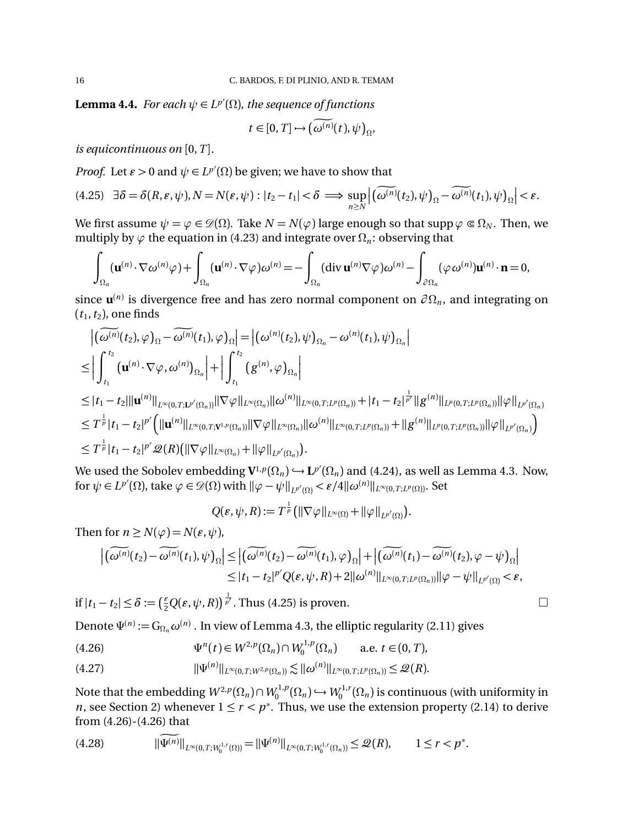**Lemma 4.4.** For each  $\psi \in L^{p'}(\Omega)$ , the sequence of functions

$$
t\in[0,T]\mapsto\big(\omega^{(n)}(t),\psi\big)_{\Omega},
$$

*is equicontinuous on* [0,*T* ]*.*

*Proof.* Let  $\varepsilon > 0$  and  $\psi \in L^{p'}(\Omega)$  be given; we have to show that

$$
(4.25) \quad \exists \delta = \delta(R, \varepsilon, \psi), N = N(\varepsilon, \psi) : |t_2 - t_1| < \delta \implies \sup_{n \ge N} \left| \left( \widetilde{\omega^{(n)}}(t_2), \psi \right)_\Omega - \widetilde{\omega^{(n)}}(t_1), \psi \right)_\Omega \right| < \varepsilon.
$$

We first assume  $\psi = \varphi \in \mathcal{D}(\Omega)$ . Take  $N = N(\varphi)$  large enough so that supp  $\varphi \in \Omega_N$ . Then, we multiply by  $\varphi$  the equation in (4.23) and integrate over  $\Omega_n$ : observing that

$$
\int_{\Omega_n} (\mathbf{u}^{(n)} \cdot \nabla \omega^{(n)} \varphi) + \int_{\Omega_n} (\mathbf{u}^{(n)} \cdot \nabla \varphi) \omega^{(n)} = - \int_{\Omega_n} (\text{div } \mathbf{u}^{(n)} \nabla \varphi) \omega^{(n)} - \int_{\partial \Omega_n} (\varphi \omega^{(n)}) \mathbf{u}^{(n)} \cdot \mathbf{n} = 0,
$$

since  $\mathbf{u}^{(n)}$  is divergence free and has zero normal component on  $\partial \Omega_n$ , and integrating on  $(t_1, t_2)$ , one finds

$$
\begin{split}\n&\left| \left( \widetilde{\omega^{(n)}}(t_2), \varphi \right)_{\Omega} - \widetilde{\omega^{(n)}}(t_1), \varphi \right)_{\Omega} \right| = \left| \left( \omega^{(n)}(t_2), \psi \right)_{\Omega_n} - \omega^{(n)}(t_1), \psi \right)_{\Omega_n} \right| \\
&\leq \left| \int_{t_1}^{t_2} \left( \mathbf{u}^{(n)} \cdot \nabla \varphi, \omega^{(n)} \right)_{\Omega_n} \right| + \left| \int_{t_1}^{t_2} \left( g^{(n)}, \varphi \right)_{\Omega_n} \right| \\
&\leq |t_1 - t_2| ||\mathbf{u}^{(n)}||_{L^{\infty}(0, T; L^{p'}(\Omega_n))} ||\nabla \varphi||_{L^{\infty}(\Omega_n)} ||\omega^{(n)}||_{L^{\infty}(0, T; L^{p}(\Omega_n))} + |t_1 - t_2|^{\frac{1}{p'}} ||g^{(n)}||_{L^{p}(0, T; L^{p}(\Omega_n))} ||\varphi||_{L^{p'}(\Omega_n)} \\
&\leq T^{\frac{1}{p}} |t_1 - t_2|^{p'} \left( ||\mathbf{u}^{(n)}||_{L^{\infty}(0, T; \mathbf{V}^{1, p}(\Omega_n))} ||\nabla \varphi||_{L^{\infty}(\Omega_n)} ||\omega^{(n)}||_{L^{\infty}(0, T; L^{p}(\Omega_n))} + ||g^{(n)}||_{L^{p}(0, T; L^{p}(\Omega_n))} ||\varphi||_{L^{p'}(\Omega_n)} \right) \\
&\leq T^{\frac{1}{p}} |t_1 - t_2|^{p'} \mathscr{Q}(R) \left( ||\nabla \varphi||_{L^{\infty}(\Omega_n)} + ||\varphi||_{L^{p'}(\Omega_n)} \right).\n\end{split}
$$

We used the Sobolev embedding  $V^{1,p}(\Omega_n) \hookrightarrow L^{p'}(\Omega_n)$  and (4.24), as well as Lemma 4.3. Now, for  $\psi \in L^{p'}(\Omega)$ , take  $\varphi \in \mathscr{D}(\Omega)$  with  $\|\varphi - \psi\|_{L^{p'}(\Omega)} < \varepsilon/4 \|\omega^{(n)}\|_{L^{\infty}(0,T;L^{p}(\Omega))}$ . Set

$$
Q(\varepsilon,\psi,R):=T^{\frac{1}{p}}\big(\|\nabla\varphi\|_{L^{\infty}(\Omega)}+\|\varphi\|_{L^{p'}(\Omega)}\big).
$$

Then for  $n \ge N(\varphi) = N(\varepsilon, \psi)$ ,

$$
\left| \widetilde{(\omega^{(n)}}(t_2) - \widetilde{\omega^{(n)}}(t_1), \psi \right|_{\Omega} \right| \leq \left| \widetilde{(\omega^{(n)}}(t_2) - \widetilde{\omega^{(n)}}(t_1), \varphi \right|_{\Omega} \left| + \left| \widetilde{(\omega^{(n)}}(t_1) - \widetilde{\omega^{(n)}}(t_2), \varphi - \psi \right|_{\Omega} \right|
$$
  

$$
\leq |t_1 - t_2|^{p'} Q(\varepsilon, \psi, R) + 2 ||\omega^{(n)}||_{L^{\infty}(0,T;L^p(\Omega_R))} ||\varphi - \psi||_{L^{p'}(\Omega)} < \varepsilon,
$$

if  $|t_1 - t_2| \le \delta := \left(\frac{\varepsilon}{2}Q(\varepsilon, \psi, R)\right)^{\frac{1}{p'}}$ . Thus (4.25) is proven.

Denote  $\Psi^{(n)} := G_{\Omega_n} \omega^{(n)}$ . In view of Lemma 4.3, the elliptic regularity (2.11) gives

(4.26) 
$$
\Psi^{n}(t) \in W^{2,p}(\Omega_n) \cap W^{1,p}_{0}(\Omega_n) \quad \text{a.e. } t \in (0, T),
$$

$$
(4.27) \t\t\t ||\Psi^{(n)}||_{L^{\infty}(0,T;W^{2,p}(\Omega_n))} \lesssim ||\omega^{(n)}||_{L^{\infty}(0,T;L^p(\Omega_n))} \leq \mathcal{Q}(R).
$$

Note that the embedding  $W^{2,p}(\Omega_n) \cap W^{1,p}_0(\Omega_n) \hookrightarrow W^{1,r}_0(\Omega_n)$  is continuous (with uniformity in *n*, see Section 2) whenever  $1 \le r < p^*$ . Thus, we use the extension property (2.14) to derive from (4.26)-(4.26) that

$$
(4.28) \t\t ||\Psi^{(n)}||_{L^{\infty}(0,T;W_0^{1,r}(\Omega))} = ||\Psi^{(n)}||_{L^{\infty}(0,T;W_0^{1,r}(\Omega_n))} \leq \mathcal{Q}(R), \t 1 \leq r < p^*.
$$

$$
\sqcup
$$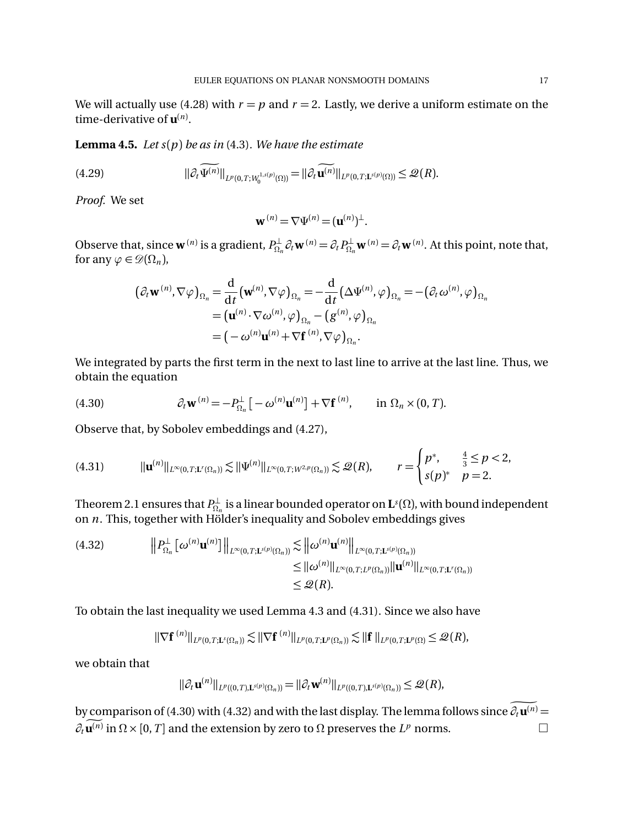We will actually use (4.28) with  $r = p$  and  $r = 2$ . Lastly, we derive a uniform estimate on the time-derivative of **u**(*n*) .

**Lemma 4.5.** *Let s*(*p*) *be as in* (4.3)*. We have the estimate*

$$
(4.29) \t\t\t ||\partial_t \widetilde{\Psi^{(n)}}||_{L^p(0,T;W_0^{1,s(p)}(\Omega))} = ||\partial_t \widetilde{\mathbf{u}^{(n)}}||_{L^p(0,T;\mathbf{L}^{s(p)}(\Omega))} \leq \mathcal{Q}(R).
$$

*Proof.* We set

$$
\mathbf{w}^{(n)} = \nabla \Psi^{(n)} = (\mathbf{u}^{(n)})^{\perp}.
$$

Observe that, since  $\mathbf{w}^{(n)}$  is a gradient,  $P_{\Omega_n}^{\perp} \partial_t \mathbf{w}^{(n)} = \partial_t P_{\Omega_n}^{\perp} \mathbf{w}^{(n)} = \partial_t \mathbf{w}^{(n)}$ . At this point, note that, for any  $\varphi \in \mathscr{D}(\Omega_n)$ ,

$$
(\partial_t \mathbf{w}^{(n)}, \nabla \varphi)_{\Omega_n} = \frac{\mathrm{d}}{\mathrm{d}t} (\mathbf{w}^{(n)}, \nabla \varphi)_{\Omega_n} = -\frac{\mathrm{d}}{\mathrm{d}t} (\Delta \Psi^{(n)}, \varphi)_{\Omega_n} = -(\partial_t \omega^{(n)}, \varphi)_{\Omega_n}
$$
  
= 
$$
(\mathbf{u}^{(n)} \cdot \nabla \omega^{(n)}, \varphi)_{\Omega_n} - (g^{(n)}, \varphi)_{\Omega_n}
$$
  
= 
$$
(-\omega^{(n)} \mathbf{u}^{(n)} + \nabla \mathbf{f}^{(n)}, \nabla \varphi)_{\Omega_n}.
$$

We integrated by parts the first term in the next to last line to arrive at the last line. Thus, we obtain the equation

(4.30) 
$$
\partial_t \mathbf{w}^{(n)} = -P_{\Omega_n}^{\perp} \left[ -\omega^{(n)} \mathbf{u}^{(n)} \right] + \nabla \mathbf{f}^{(n)}, \quad \text{in } \Omega_n \times (0, T).
$$

Observe that, by Sobolev embeddings and (4.27),

$$
(4.31) \t\t ||\mathbf{u}^{(n)}||_{L^{\infty}(0,T;\mathbf{L}^{r}(\Omega_{n}))} \lesssim ||\Psi^{(n)}||_{L^{\infty}(0,T;W^{2,p}(\Omega_{n}))} \lesssim \mathcal{Q}(R), \t\t r = \begin{cases} p^{*}, & \frac{4}{3} \leq p < 2, \\ s(p)^{*} & p = 2. \end{cases}
$$

Theorem 2.1 ensures that  $P^{\perp}_{\Omega_n}$  is a linear bounded operator on  $\mathbf{L}^s(\Omega)$ , with bound independent on *n*. This, together with Hölder's inequality and Sobolev embeddings gives

$$
(4.32) \t\t\t\t\|\mathbf{P}_{\Omega_n}^{\perp} \left[\boldsymbol{\omega}^{(n)} \mathbf{u}^{(n)}\right]\|_{L^{\infty}(0,T; \mathbf{L}^{s(p)}(\Omega_n))} \lesssim \|\boldsymbol{\omega}^{(n)} \mathbf{u}^{(n)}\|_{L^{\infty}(0,T; \mathbf{L}^{s(p)}(\Omega_n))}
$$
  
\n
$$
\leq \|\boldsymbol{\omega}^{(n)}\|_{L^{\infty}(0,T; \mathbf{L}^{p}(\Omega_n))} \|\mathbf{u}^{(n)}\|_{L^{\infty}(0,T; \mathbf{L}^{r}(\Omega_n))}
$$
  
\n
$$
\leq \mathcal{Q}(R).
$$

To obtain the last inequality we used Lemma 4.3 and (4.31). Since we also have

$$
\|\nabla \mathbf{f}^{(n)}\|_{L^p(0,T;\mathbf{L}^s(\Omega_n))} \lesssim \|\nabla \mathbf{f}^{(n)}\|_{L^p(0,T;\mathbf{L}^p(\Omega_n))} \lesssim \|\mathbf{f}\|_{L^p(0,T;\mathbf{L}^p(\Omega))} \leq \mathscr{Q}(R),
$$

we obtain that

$$
\|\partial_t \mathbf{u}^{(n)}\|_{L^p((0,T),\mathbf{L}^{s(p)}(\Omega_n))} = \|\partial_t \mathbf{w}^{(n)}\|_{L^p((0,T),\mathbf{L}^{s(p)}(\Omega_n))} \leq \mathscr{Q}(R),
$$

by comparison of (4.30) with (4.32) and with the last display. The lemma follows since  $\partial_t \mathbf{u}^{(n)} =$  $\partial_t \mathbf{u}^{(n)}$  in  $\Omega \times [0, T]$  and the extension by zero to  $\Omega$  preserves the  $L^p$  norms.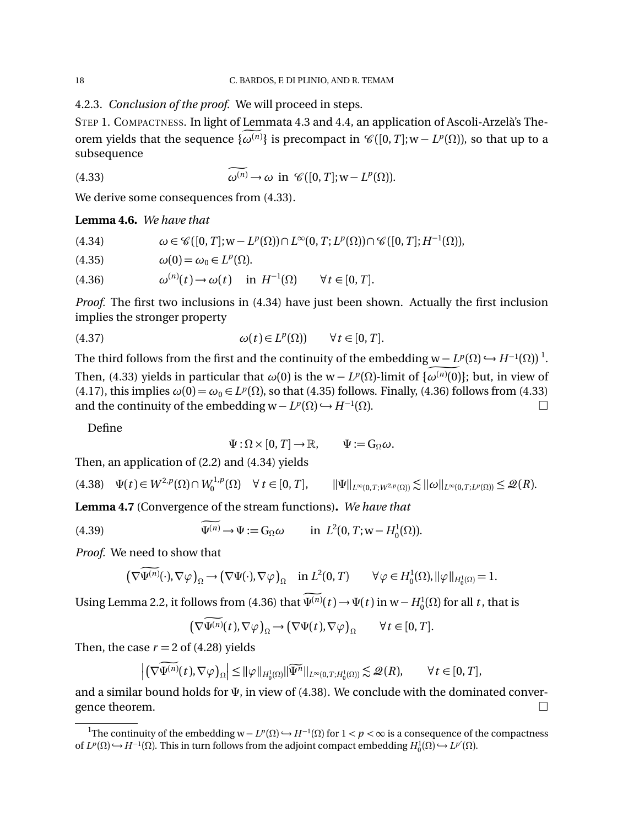4.2.3. *Conclusion of the proof.* We will proceed in steps.

STEP 1. COMPACTNESS. In light of Lemmata 4.3 and 4.4, an application of Ascoli-Arzelà's Theorem yields that the sequence  $\{\omega^{(n)}\}$  is precompact in  $\mathscr{C}([0,T];w-L^p(\Omega))$ , so that up to a subsequence

(4.33) 
$$
\widetilde{\omega^{(n)}} \to \omega \text{ in } \mathscr{C}([0,T]; \mathbf{w} - L^p(\Omega)).
$$

We derive some consequences from (4.33).

**Lemma 4.6.** *We have that*

(4.34) 
$$
\omega \in \mathscr{C}([0,T];\mathbf{w}-L^p(\Omega))\cap L^{\infty}(0,T;L^p(\Omega))\cap \mathscr{C}([0,T];H^{-1}(\Omega)),
$$

(4.35) 
$$
\omega(0) = \omega_0 \in L^p(\Omega).
$$

(4.36) 
$$
\omega^{(n)}(t) \to \omega(t) \quad \text{in } H^{-1}(\Omega) \qquad \forall t \in [0, T].
$$

*Proof.* The first two inclusions in (4.34) have just been shown. Actually the first inclusion implies the stronger property

(4.37) 
$$
\omega(t) \in L^p(\Omega) \qquad \forall t \in [0, T].
$$

The third follows from the first and the continuity of the embedding  $\underline{w - L^p(\Omega)} \hookrightarrow H^{-1}(\Omega))$ <sup>1</sup>. Then, (4.33) yields in particular that  $\omega(0)$  is the  $w - L^p(\Omega)$ -limit of  $\{\omega^{(n)}(0)\}$ ; but, in view of (4.17), this implies  $\omega(0) = \omega_0 \in L^p(\Omega)$ , so that (4.35) follows. Finally, (4.36) follows from (4.33) and the continuity of the embedding  $w - L^p(\Omega) \hookrightarrow H^{-1}(\Omega)$ . and the continuity of the embedding  $w - L^p(\Omega) \hookrightarrow H^{-1}(\Omega)$ .

Define

$$
\Psi : \Omega \times [0, T] \to \mathbb{R}, \qquad \Psi := G_{\Omega} \omega.
$$

Then, an application of (2.2) and (4.34) yields

$$
(4.38) \quad \Psi(t) \in W^{2,p}(\Omega) \cap W_0^{1,p}(\Omega) \quad \forall \ t \in [0,T], \qquad ||\Psi||_{L^{\infty}(0,T;W^{2,p}(\Omega))} \lesssim ||\omega||_{L^{\infty}(0,T;L^p(\Omega))} \leq \mathcal{Q}(R).
$$

**Lemma 4.7** (Convergence of the stream functions)**.** *We have that*

(4.39) 
$$
\widetilde{\Psi^{(n)}} \to \Psi := G_{\Omega} \omega \quad \text{in } L^2(0, T; w - H_0^1(\Omega)).
$$

*Proof.* We need to show that

$$
\left(\nabla \Psi^{(n)}(\cdot), \nabla \varphi\right)_{\Omega} \to \left(\nabla \Psi(\cdot), \nabla \varphi\right)_{\Omega} \quad \text{in } L^2(0, T) \qquad \forall \varphi \in H_0^1(\Omega), \|\varphi\|_{H_0^1(\Omega)} = 1.
$$

Using Lemma 2.2, it follows from (4.36) that  $\Psi^{(n)}(t) \to \Psi(t)$  in w $-H_0^1(\Omega)$  for all *t*, that is

$$
\left(\nabla \widetilde{\Psi^{(n)}}(t), \nabla \varphi\right)_{\Omega} \to \left(\nabla \Psi(t), \nabla \varphi\right)_{\Omega} \qquad \forall \, t \in [0, T].
$$

Then, the case  $r = 2$  of (4.28) yields

$$
\left| \left( \nabla \widetilde{\Psi^{(n)}}(t), \nabla \varphi \right)_{\Omega} \right| \leq ||\varphi||_{H_0^1(\Omega)} ||\widetilde{\Psi^n}||_{L^{\infty}(0,T;H_0^1(\Omega))} \lesssim \mathcal{Q}(R), \qquad \forall t \in [0,T],
$$

and a similar bound holds for  $\Psi$ , in view of (4.38). We conclude with the dominated conver-<br>gence theorem. gence theorem.

<sup>&</sup>lt;sup>1</sup>The continuity of the embedding  $w - L^p(\Omega) \hookrightarrow H^{-1}(\Omega)$  for  $1 < p < \infty$  is a consequence of the compactness of  $L^p(\Omega) \hookrightarrow H^{-1}(\Omega)$ . This in turn follows from the adjoint compact embedding  $H_0^1(\Omega) \hookrightarrow L^{p'}(\Omega)$ .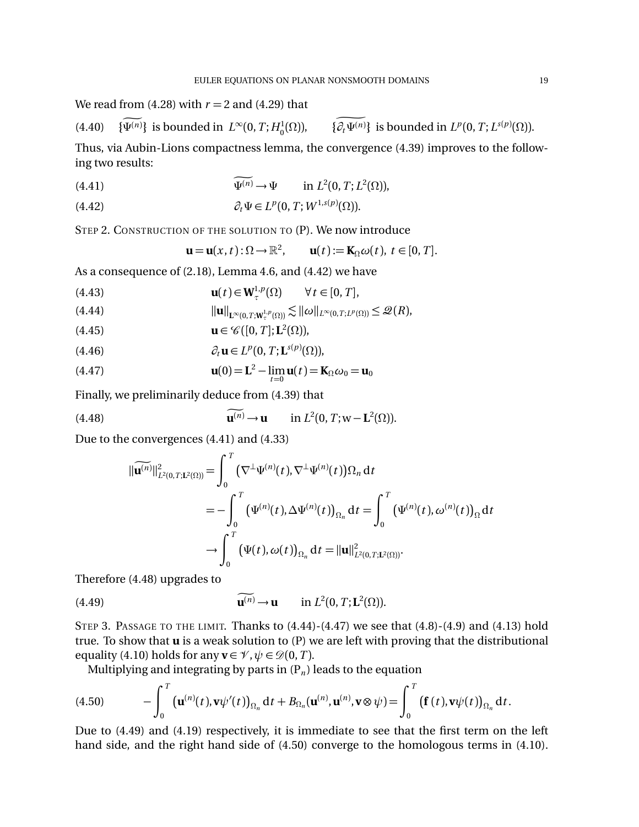We read from  $(4.28)$  with  $r = 2$  and  $(4.29)$  that

(4.40) 
$$
\{\Psi^{(n)}\}
$$
 is bounded in  $L^{\infty}(0, T; H_0^1(\Omega))$ ,  $\{\partial_t \Psi^{(n)}\}$  is bounded in  $L^p(0, T; L^{s(p)}(\Omega))$ .

Thus, via Aubin-Lions compactness lemma, the convergence (4.39) improves to the following two results:

(4.41) 
$$
\Psi^{(n)} \to \Psi \quad \text{in } L^2(0, T; L^2(\Omega)),
$$

(4.42) 
$$
\partial_t \Psi \in L^p(0,T;W^{1,s(p)}(\Omega)).
$$

STEP 2. CONSTRUCTION OF THE SOLUTION TO (P). We now introduce

$$
\mathbf{u} = \mathbf{u}(x,t): \Omega \to \mathbb{R}^2, \qquad \mathbf{u}(t) := \mathbf{K}_{\Omega} \omega(t), \ t \in [0,T].
$$

As a consequence of (2.18), Lemma 4.6, and (4.42) we have

(4.43) 
$$
\mathbf{u}(t) \in \mathbf{W}_{\tau}^{1,p}(\Omega) \qquad \forall t \in [0, T],
$$

$$
||\mathbf{u}||_{\mathbf{L}^{\infty}(0,T;\mathbf{W}^{1,p}_{\tau}(\Omega))} \lesssim ||\omega||_{L^{\infty}(0,T;L^{p}(\Omega))} \leq \mathcal{Q}(R),
$$

(4.45) 
$$
\mathbf{u} \in \mathscr{C}([0, T]; \mathbf{L}^2(\Omega)),
$$

(4.46) 
$$
\partial_t \mathbf{u} \in L^p(0,T; \mathbf{L}^{s(p)}(\Omega)),
$$

(4.47) 
$$
\mathbf{u}(0) = \mathbf{L}^2 - \lim_{t \to 0} \mathbf{u}(t) = \mathbf{K}_{\Omega} \boldsymbol{\omega}_0 = \mathbf{u}_0
$$

Finally, we preliminarily deduce from (4.39) that

(4.48) 
$$
\mathbf{u}^{(n)} \to \mathbf{u} \quad \text{in } L^2(0, T; \mathbf{w} - \mathbf{L}^2(\Omega)).
$$

Due to the convergences (4.41) and (4.33)

$$
\begin{aligned}\n\|\widetilde{\mathbf{u}^{(n)}}\|_{L^2(0,T;\mathbf{L}^2(\Omega))}^2 &= \int_0^T \left(\nabla^{\perp} \Psi^{(n)}(t), \nabla^{\perp} \Psi^{(n)}(t)\right) \Omega_n \, \mathrm{d}t \\
&= -\int_0^T \left(\Psi^{(n)}(t), \Delta \Psi^{(n)}(t)\right)_{\Omega_n} \mathrm{d}t = \int_0^T \left(\Psi^{(n)}(t), \omega^{(n)}(t)\right)_{\Omega} \mathrm{d}t \\
&\to \int_0^T \left(\Psi(t), \omega(t)\right)_{\Omega_n} \mathrm{d}t = \|\mathbf{u}\|_{L^2(0,T;\mathbf{L}^2(\Omega))}^2.\n\end{aligned}
$$

Therefore (4.48) upgrades to

(4.49) 
$$
\widetilde{\mathbf{u}^{(n)}} \to \mathbf{u} \quad \text{in } L^2(0,T;\mathbf{L}^2(\Omega)).
$$

STEP 3. PASSAGE TO THE LIMIT. Thanks to (4.44)-(4.47) we see that (4.8)-(4.9) and (4.13) hold true. To show that **u** is a weak solution to (P) we are left with proving that the distributional equality (4.10) holds for any  $\mathbf{v} \in \mathcal{V}$ ,  $\psi \in \mathcal{D}(0,T)$ .

Multiplying and integrating by parts in  $(P_n)$  leads to the equation

(4.50) 
$$
- \int_0^T \left( \mathbf{u}^{(n)}(t), \mathbf{v} \psi'(t) \right)_{\Omega_n} dt + B_{\Omega_n}(\mathbf{u}^{(n)}, \mathbf{u}^{(n)}, \mathbf{v} \otimes \psi) = \int_0^T \left( \mathbf{f}(t), \mathbf{v} \psi(t) \right)_{\Omega_n} dt.
$$

Due to (4.49) and (4.19) respectively, it is immediate to see that the first term on the left hand side, and the right hand side of (4.50) converge to the homologous terms in (4.10).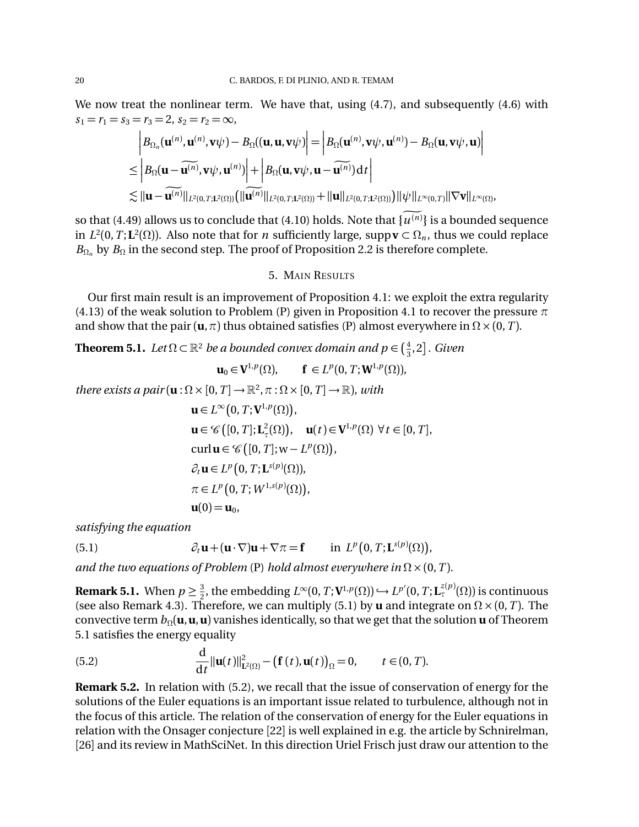We now treat the nonlinear term. We have that, using (4.7), and subsequently (4.6) with  $s_1 = r_1 = s_3 = r_3 = 2, s_2 = r_2 = \infty$ ,

$$
\begin{aligned}\n& \left| B_{\Omega_n}(\mathbf{u}^{(n)}, \mathbf{u}^{(n)}, \mathbf{v}\psi) - B_{\Omega}((\mathbf{u}, \mathbf{u}, \mathbf{v}\psi)\right| = \left| B_{\Omega}(\mathbf{u}^{(n)}, \mathbf{v}\psi, \mathbf{u}^{(n)}) - B_{\Omega}(\mathbf{u}, \mathbf{v}\psi, \mathbf{u}) \right| \\
&\leq \left| B_{\Omega}(\mathbf{u} - \widetilde{\mathbf{u}^{(n)}}, \mathbf{v}\psi, \mathbf{u}^{(n)}) \right| + \left| B_{\Omega}(\mathbf{u}, \mathbf{v}\psi, \mathbf{u} - \widetilde{\mathbf{u}^{(n)}}) \right| dt \right| \\
&\lesssim ||\mathbf{u} - \widetilde{\mathbf{u}^{(n)}}||_{L^2(0,T;\mathbf{L}^2(\Omega))} \big( ||\widetilde{\mathbf{u}^{(n)}}||_{L^2(0,T;\mathbf{L}^2(\Omega))} + ||\mathbf{u}||_{L^2(0,T;\mathbf{L}^2(\Omega))} \big) ||\psi||_{L^{\infty}(0,T)} ||\nabla \mathbf{v}||_{L^{\infty}(\Omega)},\n\end{aligned}
$$

so that (4.49) allows us to conclude that (4.10) holds. Note that  $\{u^{(n)}\}$  is a bounded sequence in  $L^2(0,T; \mathbf{L}^2(\Omega))$ . Also note that for *n* sufficiently large, supp $\mathbf{v} \subset \Omega_n$ , thus we could replace  $B_{\Omega_n}$  by  $B_{\Omega}$  in the second step. The proof of Proposition 2.2 is therefore complete.

## 5. MAIN RESULTS

Our first main result is an improvement of Proposition 4.1: we exploit the extra regularity (4.13) of the weak solution to Problem (P) given in Proposition 4.1 to recover the pressure  $\pi$ and show that the pair  $(\mathbf{u}, \pi)$  thus obtained satisfies (P) almost everywhere in  $\Omega \times (0, T)$ .

**Theorem 5.1.** Let  $\Omega \subset \mathbb{R}^2$  be a bounded convex domain and  $p \in \left(\frac{4}{3}, 2\right]$ . Given

$$
\mathbf{u}_0 \in \mathbf{V}^{1,p}(\Omega), \qquad \mathbf{f} \in L^p(0,T; \mathbf{W}^{1,p}(\Omega)),
$$

*there exists a pair*  $(\mathbf{u} : \Omega \times [0, T] \to \mathbb{R}^2, \pi : \Omega \times [0, T] \to \mathbb{R}$ *), with* 

$$
\mathbf{u} \in L^{\infty}(0, T; \mathbf{V}^{1, p}(\Omega)),
$$
  
\n
$$
\mathbf{u} \in \mathscr{C}([0, T]; \mathbf{L}_{\tau}^{2}(\Omega)), \quad \mathbf{u}(t) \in \mathbf{V}^{1, p}(\Omega) \ \forall t \in [0, T],
$$
  
\ncurl  $\mathbf{u} \in \mathscr{C}([0, T]; \mathbf{w} - L^{p}(\Omega)),$   
\n
$$
\partial_{t} \mathbf{u} \in L^{p}(0, T; \mathbf{L}^{s(p)}(\Omega)),
$$
  
\n
$$
\pi \in L^{p}(0, T; W^{1, s(p)}(\Omega)),
$$
  
\n
$$
\mathbf{u}(0) = \mathbf{u}_{0},
$$

*satisfying the equation*

(5.1) 
$$
\partial_t \mathbf{u} + (\mathbf{u} \cdot \nabla) \mathbf{u} + \nabla \pi = \mathbf{f} \quad \text{in } L^p(0, T; \mathbf{L}^{s(p)}(\Omega)),
$$

*and the two equations of Problem* (P) *hold almost everywhere in*  $\Omega \times (0, T)$ *.* 

**Remark 5.1.** When  $p \geq \frac{3}{2}$ , the embedding  $L^{\infty}(0,T;{\bf V}^{1,p}(\Omega)) \hookrightarrow L^{p'}(0,T;{\bf L}^{z(p)}_{\tau}(\Omega))$  is continuous (see also Remark 4.3). Therefore, we can multiply (5.1) by **u** and integrate on  $\Omega \times (0, T)$ . The convective term  $b_{\Omega}(\mathbf{u}, \mathbf{u}, \mathbf{u})$  vanishes identically, so that we get that the solution **u** of Theorem 5.1 satisfies the energy equality

(5.2) 
$$
\frac{\mathrm{d}}{\mathrm{d}t} \|\mathbf{u}(t)\|_{\mathbf{L}^2(\Omega)}^2 - \left(\mathbf{f}(t), \mathbf{u}(t)\right)_{\Omega} = 0, \qquad t \in (0, T).
$$

**Remark 5.2.** In relation with (5.2), we recall that the issue of conservation of energy for the solutions of the Euler equations is an important issue related to turbulence, although not in the focus of this article. The relation of the conservation of energy for the Euler equations in relation with the Onsager conjecture [22] is well explained in e.g. the article by Schnirelman, [26] and its review in MathSciNet. In this direction Uriel Frisch just draw our attention to the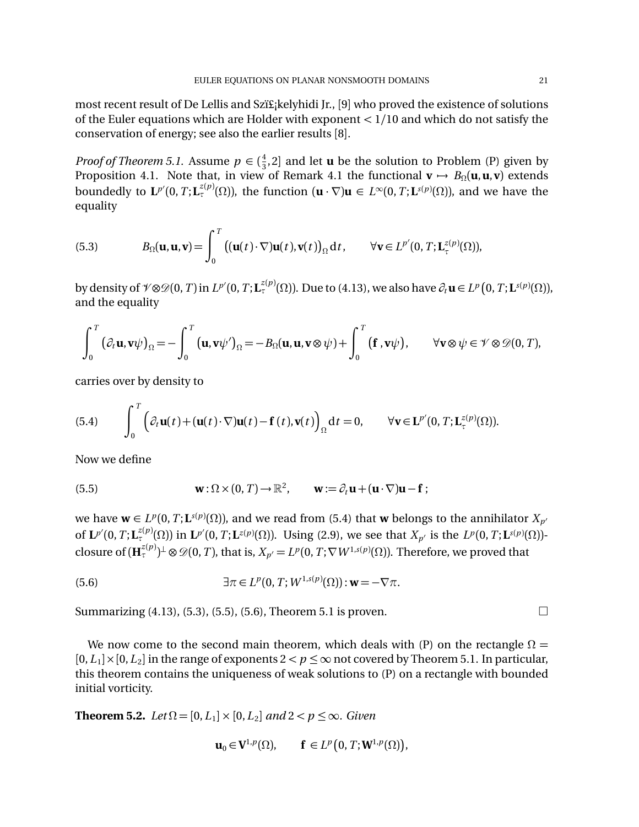most recent result of De Lellis and Szï£<sub>i</sub>kelyhidi Jr., [9] who proved the existence of solutions of the Euler equations which are Holder with exponent *<* 1*/*10 and which do not satisfy the conservation of energy; see also the earlier results [8].

*Proof of Theorem 5.1.* Assume  $p \in (\frac{4}{3}, 2]$  and let **u** be the solution to Problem (P) given by Proposition 4.1. Note that, in view of Remark 4.1 the functional  $\mathbf{v} \mapsto B_{\Omega}(\mathbf{u}, \mathbf{u}, \mathbf{v})$  extends boundedly to  $\mathbf{L}^{p'}(0,T;\mathbf{L}^{z(p)}(\Omega))$ , the function  $(\mathbf{u} \cdot \nabla)\mathbf{u} \in L^{\infty}(0,T;\mathbf{L}^{s(p)}(\Omega))$ , and we have the equality

(5.3) 
$$
B_{\Omega}(\mathbf{u}, \mathbf{u}, \mathbf{v}) = \int_0^T \left( (\mathbf{u}(t) \cdot \nabla) \mathbf{u}(t), \mathbf{v}(t) \right)_{\Omega} dt, \qquad \forall \mathbf{v} \in L^{p'}(0, T; \mathbf{L}^{z(p)}(\Omega)),
$$

by density of  $\mathcal{V} \otimes \mathcal{D}(0,T)$  in  $L^{p'}(0,T;\mathbf{L}^{z(p)}_v(\Omega))$ . Due to (4.13), we also have  $\partial_t \mathbf{u} \in L^p(0,T;\mathbf{L}^{s(p)}(\Omega))$ , and the equality

$$
\int_0^T \left(\partial_t \mathbf{u}, \mathbf{v}\psi\right)_{\Omega} = -\int_0^T \left(\mathbf{u}, \mathbf{v}\psi'\right)_{\Omega} = -B_{\Omega}(\mathbf{u}, \mathbf{u}, \mathbf{v}\otimes\psi) + \int_0^T \left(\mathbf{f}, \mathbf{v}\psi\right), \qquad \forall \mathbf{v}\otimes\psi \in \mathcal{V}\otimes\mathcal{D}(0, T),
$$

carries over by density to

(5.4) 
$$
\int_0^T \left( \partial_t \mathbf{u}(t) + (\mathbf{u}(t) \cdot \nabla) \mathbf{u}(t) - \mathbf{f}(t), \mathbf{v}(t) \right)_{\Omega} dt = 0, \qquad \forall \mathbf{v} \in \mathbf{L}^{p'}(0, T; \mathbf{L}^{z(p)}(\Omega)).
$$

Now we define

(5.5) 
$$
\mathbf{w}: \Omega \times (0, T) \to \mathbb{R}^2, \qquad \mathbf{w} := \partial_t \mathbf{u} + (\mathbf{u} \cdot \nabla) \mathbf{u} - \mathbf{f};
$$

we have  $\mathbf{w} \in L^p(0,T; \mathbf{L}^{s(p)}(\Omega))$ , and we read from (5.4) that  $\mathbf{w}$  belongs to the annihilator  $X_{p^d}$ of  $L^{p'}(0, T; L^{z(p)}(\Omega))$  in  $L^{p'}(0, T; L^{z(p)}(\Omega))$ . Using (2.9), we see that  $X_{p'}$  is the  $L^p(0, T; L^{s(p)}(\Omega))$ closure of  $(\mathbf{H}_{\tau}^{z(p)})^{\perp} \otimes \mathscr{D}(0,T)$ , that is,  $X_{p'} = L^p(0,T;\nabla W^{1,s(p)}(\Omega))$ . Therefore, we proved that

(5.6) 
$$
\exists \pi \in L^p(0, T; W^{1,s(p)}(\Omega)) : \mathbf{w} = -\nabla \pi.
$$

Summarizing  $(4.13)$ ,  $(5.3)$ ,  $(5.5)$ ,  $(5.6)$ , Theorem 5.1 is proven.

We now come to the second main theorem, which deals with (P) on the rectangle  $\Omega =$  $[0,L_1] \times [0,L_2]$  in the range of exponents  $2 < p \leq \infty$  not covered by Theorem 5.1. In particular, this theorem contains the uniqueness of weak solutions to (P) on a rectangle with bounded initial vorticity.

**Theorem 5.2.** *Let*  $\Omega = [0, L_1] \times [0, L_2]$  *and*  $2 < p \le \infty$ *. Given* 

$$
\mathbf{u}_0 \in \mathbf{V}^{1,p}(\Omega), \qquad \mathbf{f} \in L^p\big(0,T;\mathbf{W}^{1,p}(\Omega)\big),
$$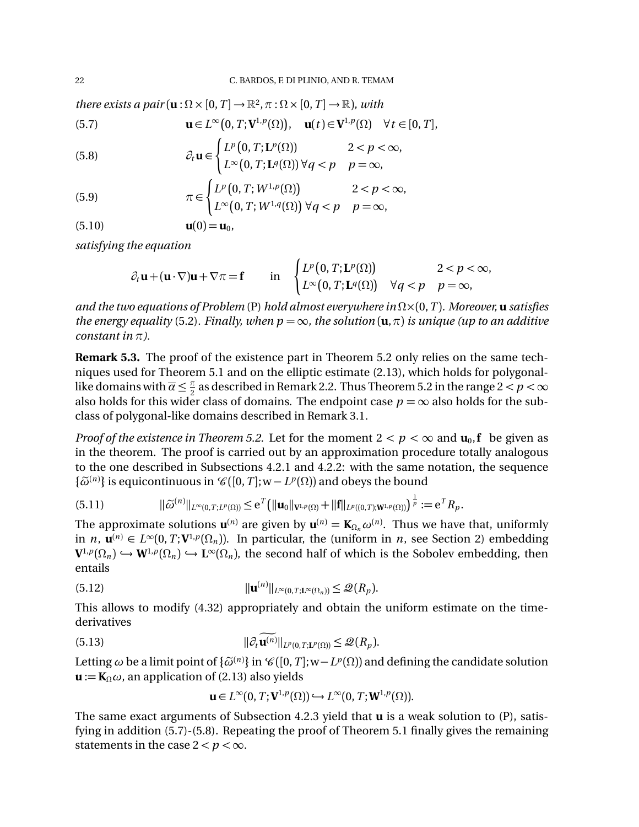*there exists a pair*  $(\mathbf{u} : \Omega \times [0, T] \to \mathbb{R}^2, \pi : \Omega \times [0, T] \to \mathbb{R}$ *), with* 

(5.7) 
$$
\mathbf{u} \in L^{\infty}(0,T; \mathbf{V}^{1,p}(\Omega)), \quad \mathbf{u}(t) \in \mathbf{V}^{1,p}(\Omega) \quad \forall t \in [0,T],
$$

(5.8) 
$$
\partial_t \mathbf{u} \in \begin{cases} L^p(0,T;\mathbf{L}^p(\Omega)) & 2 < p < \infty, \\ L^{\infty}(0,T;\mathbf{L}^q(\Omega)) \ \forall q < p \quad p = \infty, \end{cases}
$$

(5.9) 
$$
\pi \in \begin{cases} L^p(0,T;W^{1,p}(\Omega)) & 2 < p < \infty, \\ L^{\infty}(0,T;W^{1,q}(\Omega)) \ \forall q < p \quad p = \infty, \end{cases}
$$

$$
\mathbf{u}(0) = \mathbf{u}_0,
$$

*satisfying the equation*

$$
\partial_t \mathbf{u} + (\mathbf{u} \cdot \nabla) \mathbf{u} + \nabla \pi = \mathbf{f} \quad \text{in} \quad \begin{cases} L^p(0,T; \mathbf{L}^p(\Omega)) & 2 < p < \infty, \\ L^{\infty}(0,T; \mathbf{L}^q(\Omega)) & \forall q < p \quad p = \infty, \end{cases}
$$

*and the two equations of Problem* (P) *hold almost everywhere in*  $\Omega \times (0, T)$ *. Moreover,* **u** *satisfies the energy equality* (5.2). Finally, when  $p = \infty$ , the solution  $(\mathbf{u}, \pi)$  is unique (up to an additive *constant in*  $\pi$ *).* 

**Remark 5.3.** The proof of the existence part in Theorem 5.2 only relies on the same techniques used for Theorem 5.1 and on the elliptic estimate (2.13), which holds for polygonallike domains with  $\overline{\alpha} \leq \frac{\pi}{2}$  as described in Remark 2.2. Thus Theorem 5.2 in the range  $2 < p < \infty$ also holds for this wider class of domains. The endpoint case  $p = \infty$  also holds for the subclass of polygonal-like domains described in Remark 3.1.

*Proof of the existence in Theorem 5.2.* Let for the moment  $2 < p < \infty$  and  $\mathbf{u}_0$ , **f** be given as in the theorem. The proof is carried out by an approximation procedure totally analogous to the one described in Subsections 4.2.1 and 4.2.2: with the same notation, the sequence  $\{\widetilde{\omega}^{(n)}\}$  is equicontinuous in  $\mathscr{C}([0,T];w-L^p(\Omega))$  and obeys the bound

$$
(5.11) \t\t ||\widetilde{\omega}^{(n)}||_{L^{\infty}(0,T;L^{p}(\Omega))} \leq e^{T} \big(||\mathbf{u}_{0}||_{\mathbf{V}^{1,p}(\Omega)} + ||\mathbf{f}||_{L^{p}((0,T); \mathbf{W}^{1,p}(\Omega))}\big)^{\frac{1}{p}} := e^{T} R_{p}.
$$

The approximate solutions  $\mathbf{u}^{(n)}$  are given by  $\mathbf{u}^{(n)} = \mathbf{K}_{\Omega_n} \omega^{(n)}$ . Thus we have that, uniformly in *n*,  $\mathbf{u}^{(n)} \in L^{\infty}(0,T; \mathbf{V}^{1,p}(\Omega_n))$ . In particular, the (uniform in *n*, see Section 2) embedding  $V^{1,p}(\Omega_n) \hookrightarrow W^{1,p}(\Omega_n) \hookrightarrow L^{\infty}(\Omega_n)$ , the second half of which is the Sobolev embedding, then entails

(5.12) 
$$
||\mathbf{u}^{(n)}||_{L^{\infty}(0,T;\mathbf{L}^{\infty}(\Omega_n))} \leq \mathcal{Q}(R_p).
$$

This allows to modify (4.32) appropriately and obtain the uniform estimate on the timederivatives

(5.13) 
$$
\|\partial_t \mathbf{u}^{(n)}\|_{L^p(0,T;\mathbf{L}^p(\Omega))} \leq \mathcal{Q}(R_p).
$$

Letting  $\omega$  be a limit point of  $\{\widetilde{\omega}^{(n)}\}$  in  $\mathscr{C}([0,T];w-L^p(\Omega))$  and defining the candidate solution  $\mathbf{u} := \mathbf{K}_{\Omega} \omega$ , an application of (2.13) also yields

$$
\mathbf{u}\in L^{\infty}(0,T;\mathbf{V}^{1,p}(\Omega))\hookrightarrow L^{\infty}(0,T;\mathbf{W}^{1,p}(\Omega)).
$$

The same exact arguments of Subsection 4.2.3 yield that **u** is a weak solution to (P), satisfying in addition (5.7)-(5.8). Repeating the proof of Theorem 5.1 finally gives the remaining statements in the case  $2 < p < \infty$ .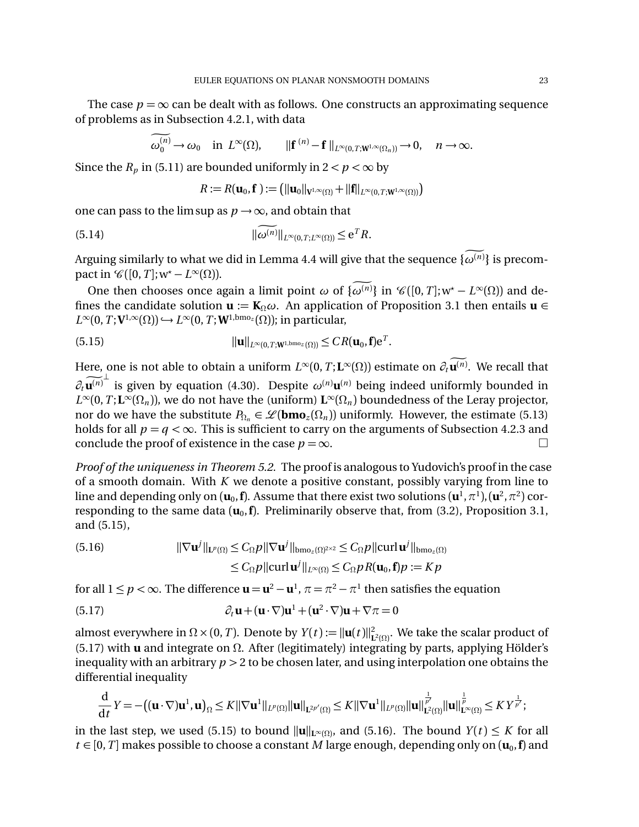The case  $p = \infty$  can be dealt with as follows. One constructs an approximating sequence of problems as in Subsection 4.2.1, with data

$$
\omega_0^{(n)} \to \omega_0 \quad \text{in } L^{\infty}(\Omega), \qquad \|\mathbf{f}^{(n)} - \mathbf{f}\|_{L^{\infty}(0,T; \mathbf{W}^{1,\infty}(\Omega_n))} \to 0, \quad n \to \infty.
$$

Since the  $R_p$  in (5.11) are bounded uniformly in  $2 < p < \infty$  by

$$
R:=R(\mathbf{u}_0,\mathbf{f}):=\big(\|\mathbf{u}_0\|_{\mathbf{V}^{1,\infty}(\Omega)}+\|\mathbf{f}\|_{L^{\infty}(0,T;\mathbf{W}^{1,\infty}(\Omega))}\big)
$$

one can pass to the lim sup as  $p \rightarrow \infty$ , and obtain that

(5.14) 
$$
\|\widetilde{\omega^{(n)}}\|_{L^{\infty}(0,T;L^{\infty}(\Omega))} \leq e^T R.
$$

Arguing similarly to what we did in Lemma 4.4 will give that the sequence  $\{\omega^{(n)}\}$  is precompact in  $\mathcal{C}([0,T];w^* - L^{\infty}(\Omega)).$ 

One then chooses once again a limit point  $\omega$  of  $\{\omega^{(n)}\}$  in  $\mathcal{C}([0,T];w^* - L^{\infty}(\Omega))$  and defines the candidate solution  $\mathbf{u} := \mathbf{K}_{\Omega} \omega$ . An application of Proposition 3.1 then entails  $\mathbf{u} \in$  $L^{\infty}(0, T; \mathbf{V}^{1,\infty}(\Omega)) \hookrightarrow L^{\infty}(0, T; \mathbf{W}^{1,\text{bmo}_z}(\Omega))$ ; in particular,

(5.15) 
$$
\|\mathbf{u}\|_{L^{\infty}(0,T;\mathbf{W}^{1,\text{bmo}_z}(\Omega))} \leq CR(\mathbf{u}_0,\mathbf{f})e^T.
$$

Here, one is not able to obtain a uniform  $L^\infty(0,T;{\bf L}^\infty(\Omega))$  estimate on  $\partial_t{\bf u}^{(n)}.$  We recall that  $\partial_t \widetilde{\mathbf{u}^{(n)}}^{\perp}$  is given by equation (4.30). Despite  $\omega^{(n)} \mathbf{u}^{(n)}$  being indeed uniformly bounded in  $L^{\infty}(0,T;\mathbf{L}^{\infty}(\Omega_n))$ , we do not have the (uniform)  $\mathbf{L}^{\infty}(\Omega_n)$  boundedness of the Leray projector, nor do we have the substitute  $P_{\Omega_n} \in \mathscr{L}(\mathbf{bmo}_z(\Omega_n))$  uniformly. However, the estimate (5.13) holds for all  $p = q < \infty$ . This is sufficient to carry on the arguments of Subsection 4.2.3 and conclude the proof of existence in the case  $p = \infty$ . conclude the proof of existence in the case  $p = \infty$ .

*Proof of the uniqueness in Theorem 5.2.* The proof is analogous to Yudovich's proof in the case of a smooth domain. With *K* we denote a positive constant, possibly varying from line to line and depending only on  $(\mathbf{u}_0, \mathbf{f})$ . Assume that there exist two solutions  $(\mathbf{u}^1, \pi^1), (\mathbf{u}^2, \pi^2)$  corresponding to the same data  $(\mathbf{u}_0, \mathbf{f})$ . Preliminarily observe that, from (3.2), Proposition 3.1, and (5.15),

(5.16) 
$$
\|\nabla \mathbf{u}^j\|_{\mathbf{L}^p(\Omega)} \leq C_{\Omega} p \|\nabla \mathbf{u}^j\|_{\text{bmo}_z(\Omega)^{2\times 2}} \leq C_{\Omega} p \|\text{curl}\, \mathbf{u}^j\|_{\text{bmo}_z(\Omega)}
$$

$$
\leq C_{\Omega} p \|\text{curl}\, \mathbf{u}^j\|_{L^{\infty}(\Omega)} \leq C_{\Omega} p R(\mathbf{u}_0, \mathbf{f}) p := K p
$$

for all  $1 \leq p < \infty$ . The difference  $\mathbf{u} = \mathbf{u}^2 - \mathbf{u}^1$ ,  $\pi = \pi^2 - \pi^1$  then satisfies the equation

(5.17) 
$$
\partial_t \mathbf{u} + (\mathbf{u} \cdot \nabla) \mathbf{u}^1 + (\mathbf{u}^2 \cdot \nabla) \mathbf{u} + \nabla \pi = 0
$$

almost everywhere in  $\Omega \times (0, T)$ . Denote by  $Y(t) := ||\mathbf{u}(t)||^2_{\mathbf{L}^2(\Omega)}$ . We take the scalar product of (5.17) with **u** and integrate on  $\Omega$ . After (legitimately) integrating by parts, applying Hölder's inequality with an arbitrary *p >* 2 to be chosen later, and using interpolation one obtains the differential inequality

$$
\frac{d}{dt}Y = -((\mathbf{u}\cdot\nabla)\mathbf{u}^1, \mathbf{u})_{\Omega} \leq K \|\nabla \mathbf{u}^1\|_{L^p(\Omega)} \|\mathbf{u}\|_{L^{2p'}(\Omega)} \leq K \|\nabla \mathbf{u}^1\|_{L^p(\Omega)} \|\mathbf{u}\|_{L^2(\Omega)}^{\frac{1}{p'}} \|\mathbf{u}\|_{L^{\infty}(\Omega)}^{\frac{1}{p}} \leq K Y^{\frac{1}{p'}};
$$

in the last step, we used (5.15) to bound  $\|\mathbf{u}\|_{\mathbf{L}^{\infty}(\Omega)}$ , and (5.16). The bound  $Y(t) \leq K$  for all  $t \in [0, T]$  makes possible to choose a constant *M* large enough, depending only on  $(\mathbf{u}_0, \mathbf{f})$  and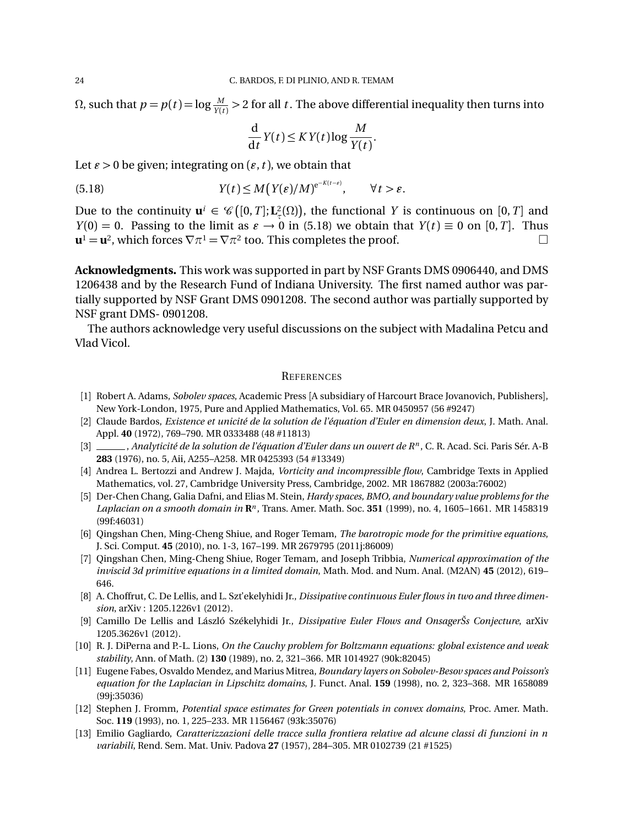Ω, such that  $p = p(t) = \log \frac{M}{Y(t)} > 2$  for all *t* . The above differential inequality then turns into

$$
\frac{\mathrm{d}}{\mathrm{d}t}Y(t) \leq KY(t)\log\frac{M}{Y(t)}.
$$

Let  $\varepsilon > 0$  be given; integrating on  $(\varepsilon, t)$ , we obtain that

(5.18) 
$$
Y(t) \leq M(Y(\varepsilon)/M)^{e^{-K(t-\varepsilon)}}, \qquad \forall t > \varepsilon.
$$

Due to the continuity  $\mathbf{u}^i \in \mathcal{C}([0,T]; \mathbf{L}^2(\Omega))$ , the functional *Y* is continuous on  $[0, T]$  and *Y*(0) = 0. Passing to the limit as  $\epsilon \to 0$  in (5.18) we obtain that *Y*(*t*)  $\equiv$  0 on [0,*T*]. Thus  $\mathbf{u}^1 = \mathbf{u}^2$ , which forces  $\nabla \pi^1 = \nabla \pi^2$  too. This completes the proof.  $\mathbf{u}^1 = \mathbf{u}^2$ , which forces  $\nabla \pi^1 = \nabla \pi^2$  too. This completes the proof.

**Acknowledgments.** This work was supported in part by NSF Grants DMS 0906440, and DMS 1206438 and by the Research Fund of Indiana University. The first named author was partially supported by NSF Grant DMS 0901208. The second author was partially supported by NSF grant DMS- 0901208.

The authors acknowledge very useful discussions on the subject with Madalina Petcu and Vlad Vicol.

#### **REFERENCES**

- [1] Robert A. Adams, *Sobolev spaces*, Academic Press [A subsidiary of Harcourt Brace Jovanovich, Publishers], New York-London, 1975, Pure and Applied Mathematics, Vol. 65. MR 0450957 (56 #9247)
- [2] Claude Bardos, *Existence et unicité de la solution de l'équation d'Euler en dimension deux*, J. Math. Anal. Appl. **40** (1972), 769–790. MR 0333488 (48 #11813)
- [3] , *Analyticité de la solution de l'équation d'Euler dans un ouvert de Rn* , C. R. Acad. Sci. Paris Sér. A-B **283** (1976), no. 5, Aii, A255–A258. MR 0425393 (54 #13349)
- [4] Andrea L. Bertozzi and Andrew J. Majda, *Vorticity and incompressible flow*, Cambridge Texts in Applied Mathematics, vol. 27, Cambridge University Press, Cambridge, 2002. MR 1867882 (2003a:76002)
- [5] Der-Chen Chang, Galia Dafni, and Elias M. Stein, *Hardy spaces, BMO, and boundary value problems for the Laplacian on a smooth domain in* **R***<sup>n</sup>* , Trans. Amer. Math. Soc. **351** (1999), no. 4, 1605–1661. MR 1458319 (99f:46031)
- [6] Qingshan Chen, Ming-Cheng Shiue, and Roger Temam, *The barotropic mode for the primitive equations*, J. Sci. Comput. **45** (2010), no. 1-3, 167–199. MR 2679795 (2011j:86009)
- [7] Qingshan Chen, Ming-Cheng Shiue, Roger Temam, and Joseph Tribbia, *Numerical approximation of the inviscid 3d primitive equations in a limited domain*, Math. Mod. and Num. Anal. (M2AN) **45** (2012), 619– 646.
- [8] A. Choffrut, C. De Lellis, and L. Szt'ekelyhidi Jr., *Dissipative continuous Euler flows in two and three dimension*, arXiv : 1205.1226v1 (2012).
- [9] Camillo De Lellis and László Székelyhidi Jr., *Dissipative Euler Flows and OnsagerŠs Conjecture*, arXiv 1205.3626v1 (2012).
- [10] R. J. DiPerna and P.-L. Lions, *On the Cauchy problem for Boltzmann equations: global existence and weak stability*, Ann. of Math. (2) **130** (1989), no. 2, 321–366. MR 1014927 (90k:82045)
- [11] Eugene Fabes, Osvaldo Mendez, and Marius Mitrea, *Boundary layers on Sobolev-Besov spaces and Poisson's equation for the Laplacian in Lipschitz domains*, J. Funct. Anal. **159** (1998), no. 2, 323–368. MR 1658089 (99j:35036)
- [12] Stephen J. Fromm, *Potential space estimates for Green potentials in convex domains*, Proc. Amer. Math. Soc. **119** (1993), no. 1, 225–233. MR 1156467 (93k:35076)
- [13] Emilio Gagliardo, *Caratterizzazioni delle tracce sulla frontiera relative ad alcune classi di funzioni in n variabili*, Rend. Sem. Mat. Univ. Padova **27** (1957), 284–305. MR 0102739 (21 #1525)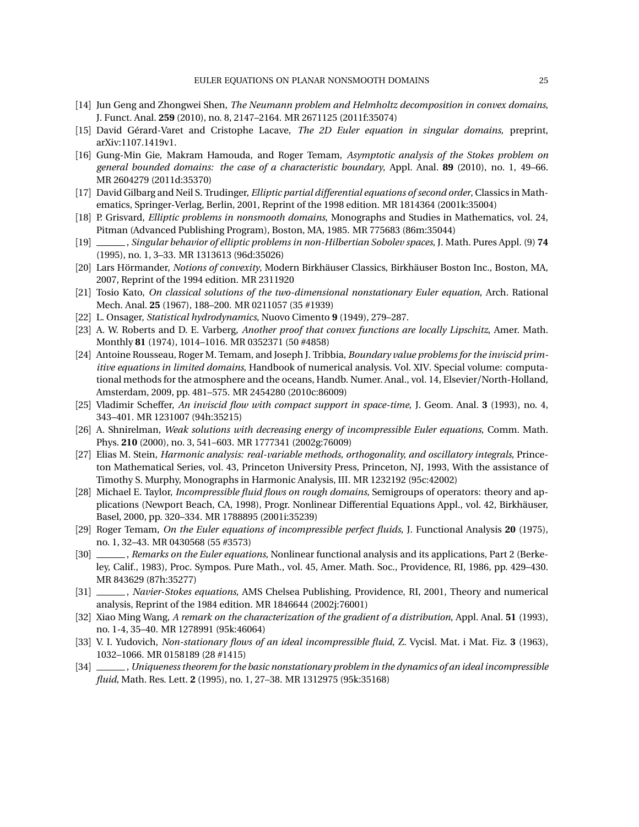- [14] Jun Geng and Zhongwei Shen, *The Neumann problem and Helmholtz decomposition in convex domains*, J. Funct. Anal. **259** (2010), no. 8, 2147–2164. MR 2671125 (2011f:35074)
- [15] David Gérard-Varet and Cristophe Lacave, *The 2D Euler equation in singular domains*, preprint, arXiv:1107.1419v1.
- [16] Gung-Min Gie, Makram Hamouda, and Roger Temam, *Asymptotic analysis of the Stokes problem on general bounded domains: the case of a characteristic boundary*, Appl. Anal. **89** (2010), no. 1, 49–66. MR 2604279 (2011d:35370)
- [17] David Gilbarg and Neil S. Trudinger, *Elliptic partial differential equations of second order*, Classics in Mathematics, Springer-Verlag, Berlin, 2001, Reprint of the 1998 edition. MR 1814364 (2001k:35004)
- [18] P. Grisvard, *Elliptic problems in nonsmooth domains*, Monographs and Studies in Mathematics, vol. 24, Pitman (Advanced Publishing Program), Boston, MA, 1985. MR 775683 (86m:35044)
- [19] , *Singular behavior of elliptic problems in non-Hilbertian Sobolev spaces*, J. Math. Pures Appl. (9) **74** (1995), no. 1, 3–33. MR 1313613 (96d:35026)
- [20] Lars Hörmander, *Notions of convexity*, Modern Birkhäuser Classics, Birkhäuser Boston Inc., Boston, MA, 2007, Reprint of the 1994 edition. MR 2311920
- [21] Tosio Kato, *On classical solutions of the two-dimensional nonstationary Euler equation*, Arch. Rational Mech. Anal. **25** (1967), 188–200. MR 0211057 (35 #1939)
- [22] L. Onsager, *Statistical hydrodynamics*, Nuovo Cimento **9** (1949), 279–287.
- [23] A. W. Roberts and D. E. Varberg, *Another proof that convex functions are locally Lipschitz*, Amer. Math. Monthly **81** (1974), 1014–1016. MR 0352371 (50 #4858)
- [24] Antoine Rousseau, Roger M. Temam, and Joseph J. Tribbia, *Boundary value problems for the inviscid primitive equations in limited domains*, Handbook of numerical analysis. Vol. XIV. Special volume: computational methods for the atmosphere and the oceans, Handb. Numer. Anal., vol. 14, Elsevier/North-Holland, Amsterdam, 2009, pp. 481–575. MR 2454280 (2010c:86009)
- [25] Vladimir Scheffer, *An inviscid flow with compact support in space-time*, J. Geom. Anal. **3** (1993), no. 4, 343–401. MR 1231007 (94h:35215)
- [26] A. Shnirelman, *Weak solutions with decreasing energy of incompressible Euler equations*, Comm. Math. Phys. **210** (2000), no. 3, 541–603. MR 1777341 (2002g:76009)
- [27] Elias M. Stein, *Harmonic analysis: real-variable methods, orthogonality, and oscillatory integrals*, Princeton Mathematical Series, vol. 43, Princeton University Press, Princeton, NJ, 1993, With the assistance of Timothy S. Murphy, Monographs in Harmonic Analysis, III. MR 1232192 (95c:42002)
- [28] Michael E. Taylor, *Incompressible fluid flows on rough domains*, Semigroups of operators: theory and applications (Newport Beach, CA, 1998), Progr. Nonlinear Differential Equations Appl., vol. 42, Birkhäuser, Basel, 2000, pp. 320–334. MR 1788895 (2001i:35239)
- [29] Roger Temam, *On the Euler equations of incompressible perfect fluids*, J. Functional Analysis **20** (1975), no. 1, 32–43. MR 0430568 (55 #3573)
- [30] , *Remarks on the Euler equations*, Nonlinear functional analysis and its applications, Part 2 (Berkeley, Calif., 1983), Proc. Sympos. Pure Math., vol. 45, Amer. Math. Soc., Providence, RI, 1986, pp. 429–430. MR 843629 (87h:35277)
- [31] , *Navier-Stokes equations*, AMS Chelsea Publishing, Providence, RI, 2001, Theory and numerical analysis, Reprint of the 1984 edition. MR 1846644 (2002j:76001)
- [32] Xiao Ming Wang, *A remark on the characterization of the gradient of a distribution*, Appl. Anal. **51** (1993), no. 1-4, 35–40. MR 1278991 (95k:46064)
- [33] V. I. Yudovich, *Non-stationary flows of an ideal incompressible fluid*, Z. Vycisl. Mat. i Mat. Fiz. **3** (1963), 1032–1066. MR 0158189 (28 #1415)
- [34] , *Uniqueness theorem for the basic nonstationary problem in the dynamics of an ideal incompressible fluid*, Math. Res. Lett. **2** (1995), no. 1, 27–38. MR 1312975 (95k:35168)